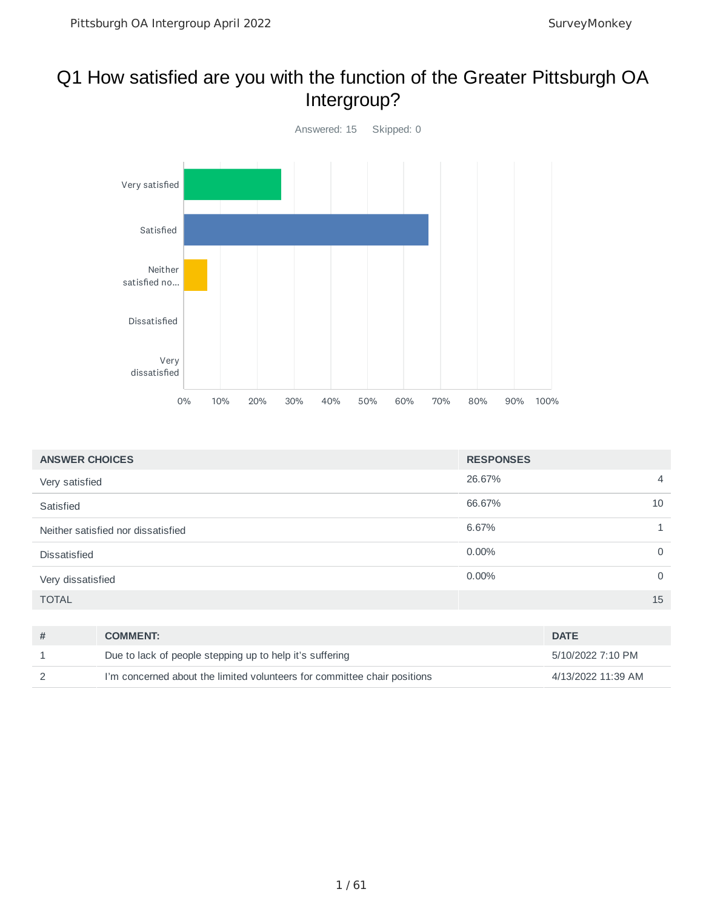#### Q1 How satisfied are you with the function of the Greater Pittsburgh OA Intergroup?



| <b>ANSWER CHOICES</b>              | <b>RESPONSES</b>         |
|------------------------------------|--------------------------|
| Very satisfied                     | 26.67%<br>$\overline{4}$ |
| Satisfied                          | 66.67%<br>10             |
| Neither satisfied nor dissatisfied | 6.67%                    |
| <b>Dissatisfied</b>                | $0.00\%$<br>$\mathbf 0$  |
| Very dissatisfied                  | $0.00\%$<br>$\mathbf 0$  |
| <b>TOTAL</b>                       | 15                       |

| <b>COMMENT:</b>                                                          | <b>DATE</b>        |
|--------------------------------------------------------------------------|--------------------|
| Due to lack of people stepping up to help it's suffering                 | 5/10/2022 7:10 PM  |
| I'm concerned about the limited volunteers for committee chair positions | 4/13/2022 11:39 AM |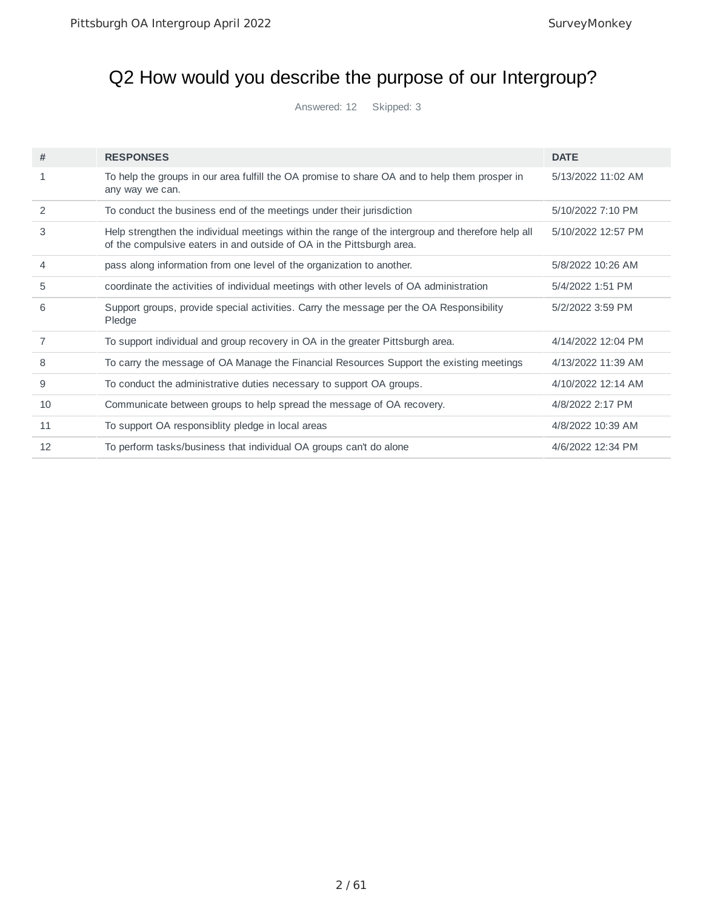# Q2 How would you describe the purpose of our Intergroup?

Answered: 12 Skipped: 3

| #              | <b>RESPONSES</b>                                                                                                                                                           | <b>DATE</b>        |
|----------------|----------------------------------------------------------------------------------------------------------------------------------------------------------------------------|--------------------|
| 1              | To help the groups in our area fulfill the OA promise to share OA and to help them prosper in<br>any way we can.                                                           | 5/13/2022 11:02 AM |
| $\overline{2}$ | To conduct the business end of the meetings under their jurisdiction                                                                                                       | 5/10/2022 7:10 PM  |
| 3              | Help strengthen the individual meetings within the range of the intergroup and therefore help all<br>of the compulsive eaters in and outside of OA in the Pittsburgh area. | 5/10/2022 12:57 PM |
| 4              | pass along information from one level of the organization to another.                                                                                                      | 5/8/2022 10:26 AM  |
| 5              | coordinate the activities of individual meetings with other levels of OA administration                                                                                    | 5/4/2022 1:51 PM   |
| 6              | Support groups, provide special activities. Carry the message per the OA Responsibility<br>Pledge                                                                          | 5/2/2022 3:59 PM   |
| 7              | To support individual and group recovery in OA in the greater Pittsburgh area.                                                                                             | 4/14/2022 12:04 PM |
| 8              | To carry the message of OA Manage the Financial Resources Support the existing meetings                                                                                    | 4/13/2022 11:39 AM |
| 9              | To conduct the administrative duties necessary to support OA groups.                                                                                                       | 4/10/2022 12:14 AM |
| 10             | Communicate between groups to help spread the message of OA recovery.                                                                                                      | 4/8/2022 2:17 PM   |
| 11             | To support OA responsiblity pledge in local areas                                                                                                                          | 4/8/2022 10:39 AM  |
| 12             | To perform tasks/business that individual OA groups can't do alone                                                                                                         | 4/6/2022 12:34 PM  |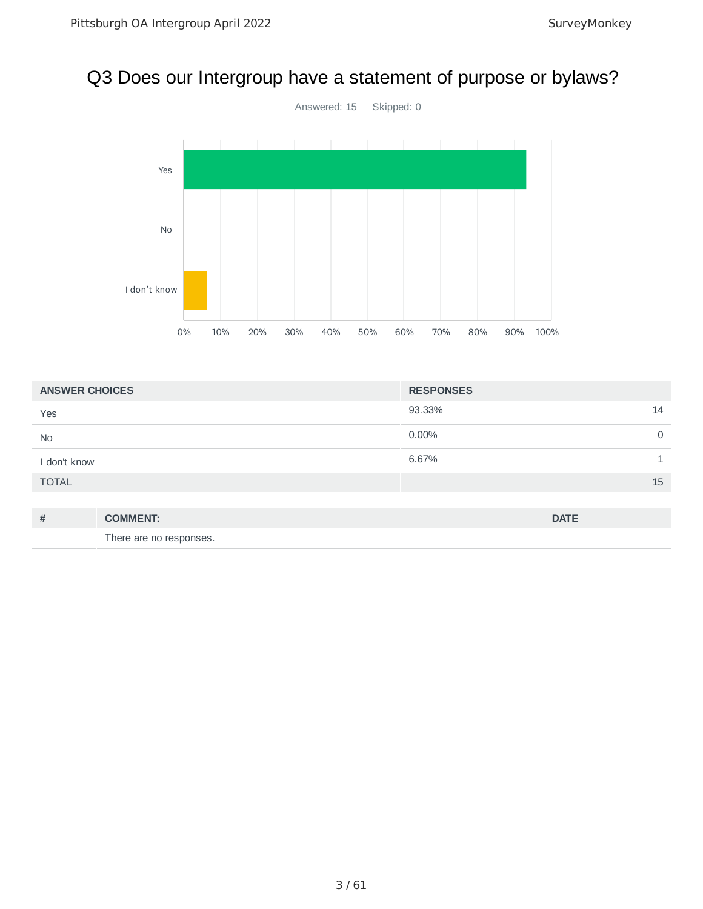#### Q3 Does our Intergroup have a statement of purpose or bylaws?



| <b>ANSWER CHOICES</b> | <b>RESPONSES</b> |
|-----------------------|------------------|
| Yes                   | 93.33%<br>14     |
| <b>No</b>             | $0.00\%$<br>0    |
| I don't know          | 6.67%            |
| <b>TOTAL</b>          | 15               |
|                       |                  |

| # | <b>COMMENT:</b>         | <b>DATE</b> |
|---|-------------------------|-------------|
|   | There are no responses. |             |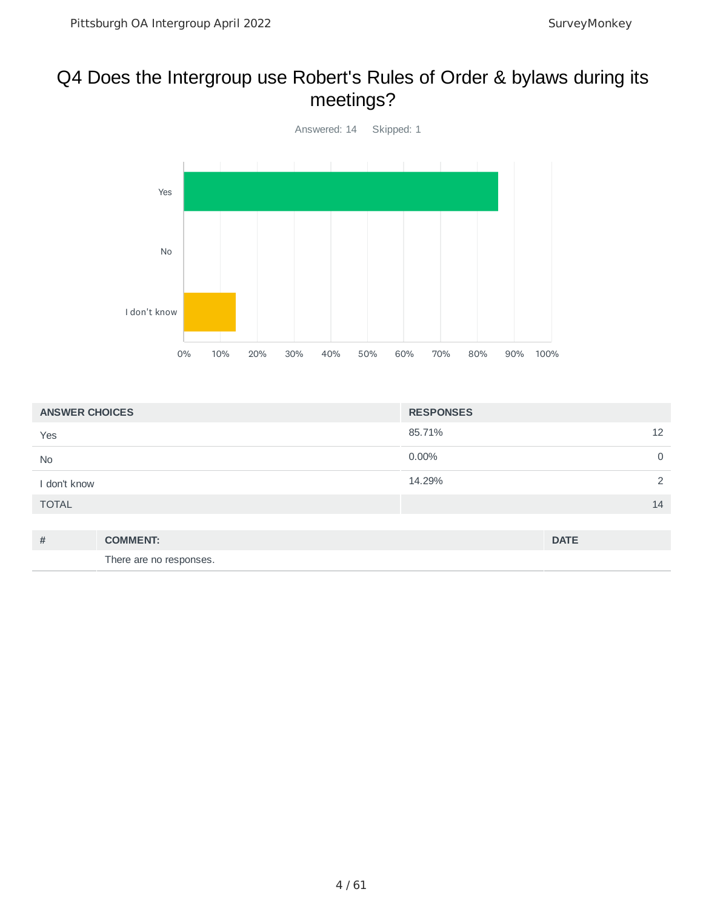#### Q4 Does the Intergroup use Robert's Rules of Order & bylaws during its meetings?



| <b>ANSWER CHOICES</b> |                         | <b>RESPONSES</b> |                |
|-----------------------|-------------------------|------------------|----------------|
| Yes                   |                         | 85.71%           | 12             |
| No                    |                         | 0.00%            | 0              |
| I don't know          |                         | 14.29%           | $\overline{2}$ |
| <b>TOTAL</b>          |                         |                  | 14             |
|                       |                         |                  |                |
| #                     | <b>COMMENT:</b>         |                  | <b>DATE</b>    |
|                       | There are no responses. |                  |                |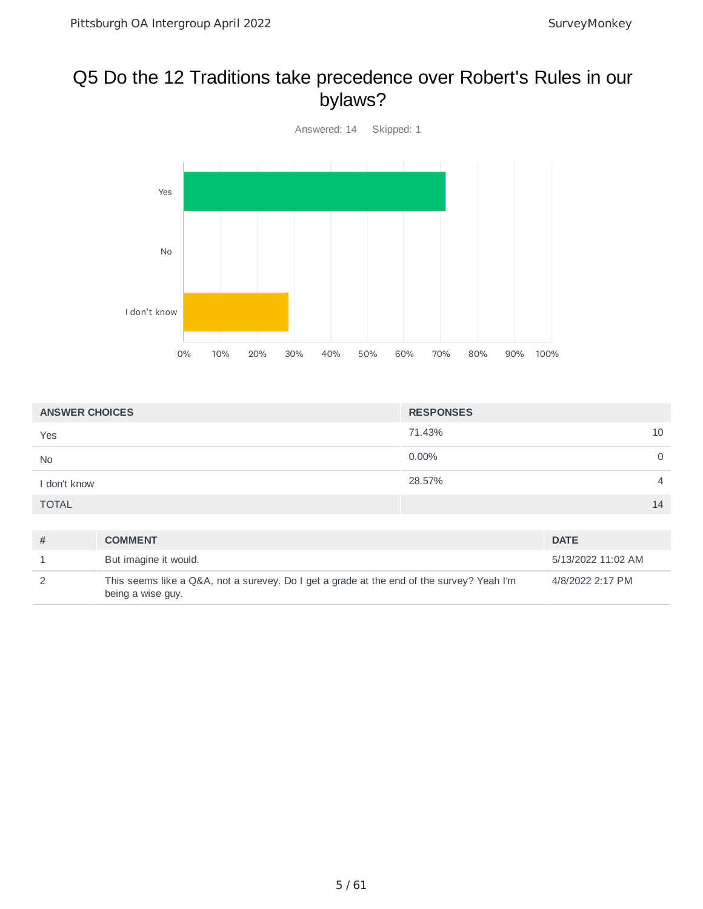#### Q5 Do the 12 Traditions take precedence over Robert's Rules in our bylaws?



| <b>ANSWER CHOICES</b> | <b>RESPONSES</b> |                |
|-----------------------|------------------|----------------|
| Yes                   | 71.43%           | 10             |
| <b>No</b>             | $0.00\%$         | $\mathbf 0$    |
| I don't know          | 28.57%           | $\overline{4}$ |
| <b>TOTAL</b>          |                  | 14             |

| # | <b>COMMENT</b>                                                                                                 | <b>DATE</b>        |
|---|----------------------------------------------------------------------------------------------------------------|--------------------|
|   | But imagine it would.                                                                                          | 5/13/2022 11:02 AM |
|   | This seems like a Q&A, not a surevey. Do I get a grade at the end of the survey? Yeah I'm<br>being a wise guy. | 4/8/2022 2:17 PM   |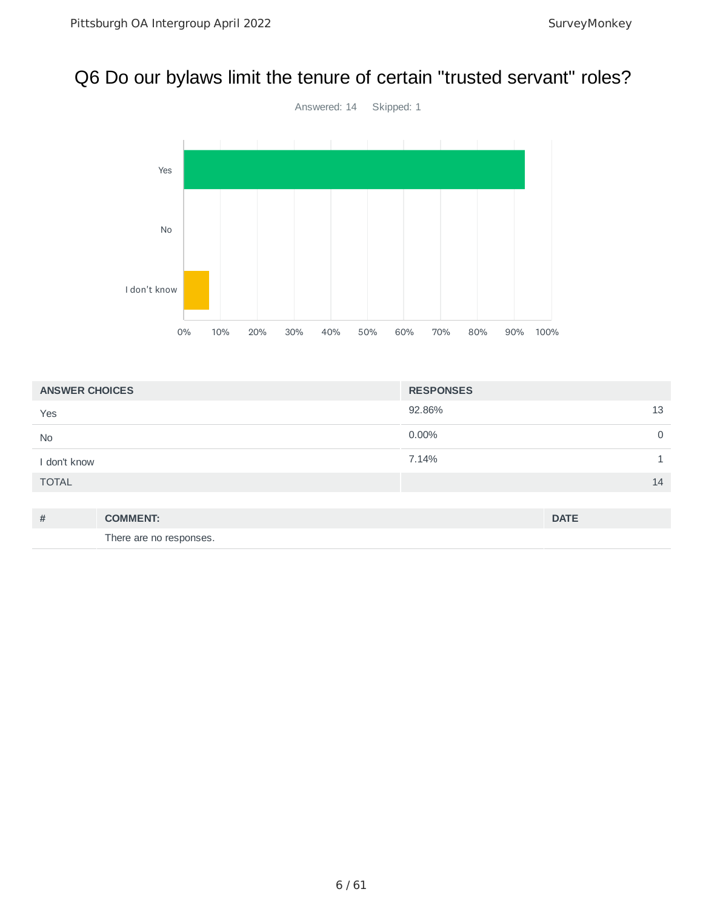#### Q6 Do our bylaws limit the tenure of certain "trusted servant" roles?



| <b>ANSWER CHOICES</b> | <b>RESPONSES</b> |
|-----------------------|------------------|
| Yes                   | 92.86%<br>13     |
| <b>No</b>             | $0.00\%$<br>0    |
| I don't know          | 7.14%            |
| <b>TOTAL</b>          | 14               |
|                       |                  |

| # | <b>COMMENT:</b>         | <b>DATE</b> |
|---|-------------------------|-------------|
|   | There are no responses. |             |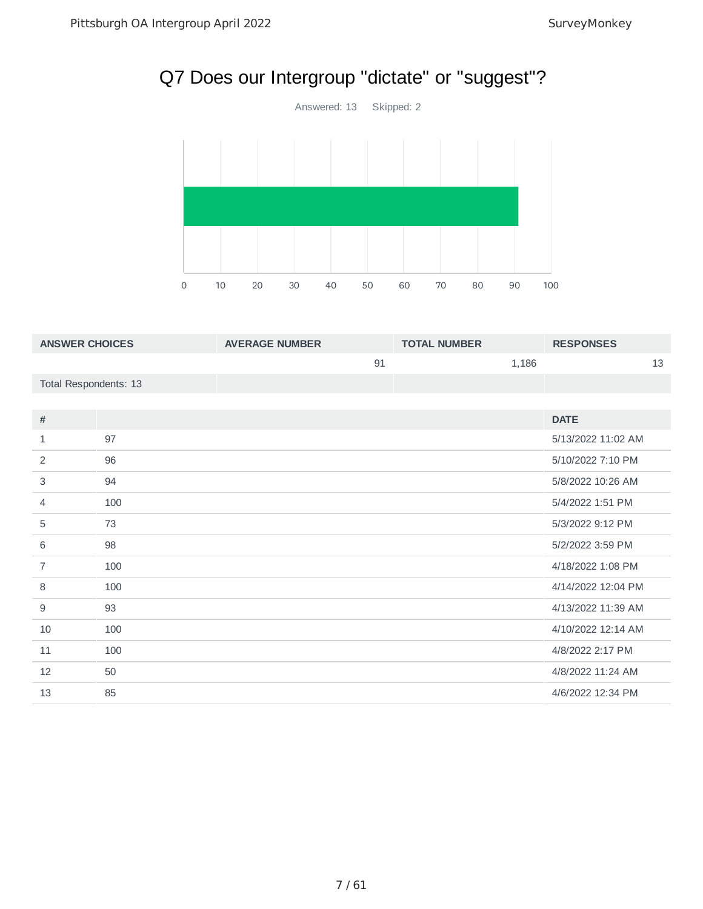# Q7 Does our Intergroup "dictate" or "suggest"?

Answered: 13 Skipped: 2



| <b>ANSWER CHOICES</b> |     | <b>AVERAGE NUMBER</b> |    | <b>TOTAL NUMBER</b> |       | <b>RESPONSES</b>   |    |
|-----------------------|-----|-----------------------|----|---------------------|-------|--------------------|----|
|                       |     |                       | 91 |                     | 1,186 |                    | 13 |
| Total Respondents: 13 |     |                       |    |                     |       |                    |    |
|                       |     |                       |    |                     |       |                    |    |
| #                     |     |                       |    |                     |       | <b>DATE</b>        |    |
| $\mathbf{1}$          | 97  |                       |    |                     |       | 5/13/2022 11:02 AM |    |
| 2                     | 96  |                       |    |                     |       | 5/10/2022 7:10 PM  |    |
| 3                     | 94  |                       |    |                     |       | 5/8/2022 10:26 AM  |    |
| 4                     | 100 |                       |    |                     |       | 5/4/2022 1:51 PM   |    |
| 5                     | 73  |                       |    |                     |       | 5/3/2022 9:12 PM   |    |
| 6                     | 98  |                       |    |                     |       | 5/2/2022 3:59 PM   |    |
| $\overline{7}$        | 100 |                       |    |                     |       | 4/18/2022 1:08 PM  |    |
| 8                     | 100 |                       |    |                     |       | 4/14/2022 12:04 PM |    |
| 9                     | 93  |                       |    |                     |       | 4/13/2022 11:39 AM |    |
| 10                    | 100 |                       |    |                     |       | 4/10/2022 12:14 AM |    |
| 11                    | 100 |                       |    |                     |       | 4/8/2022 2:17 PM   |    |
| 12                    | 50  |                       |    |                     |       | 4/8/2022 11:24 AM  |    |
| 13                    | 85  |                       |    |                     |       | 4/6/2022 12:34 PM  |    |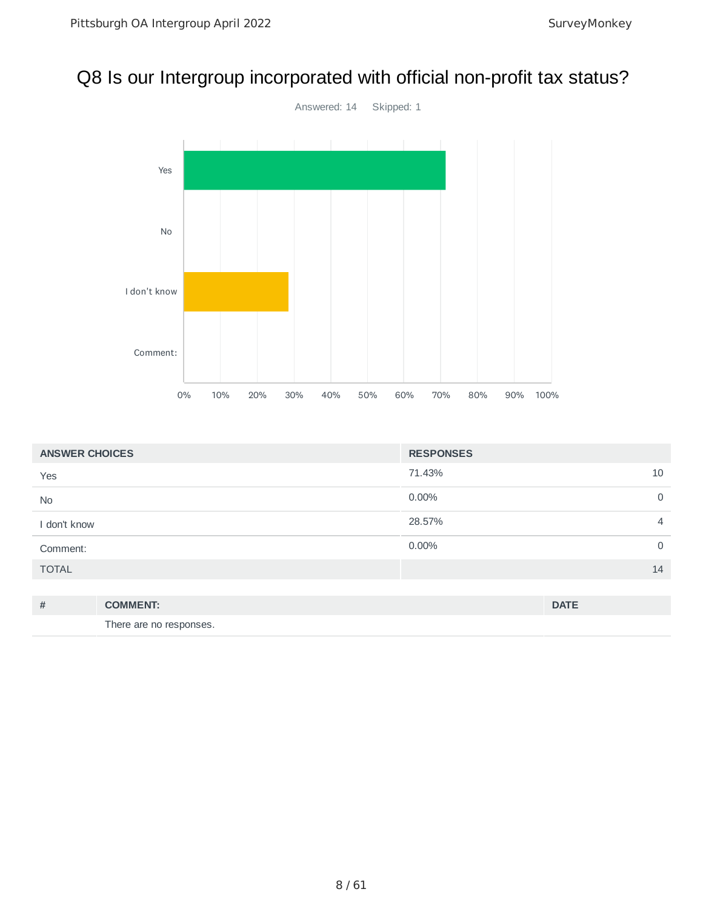#### Q8 Is our Intergroup incorporated with official non-profit tax status?



| <b>ANSWER CHOICES</b> |                         | <b>RESPONSES</b> |                |
|-----------------------|-------------------------|------------------|----------------|
| Yes                   |                         | 71.43%           | 10             |
| <b>No</b>             |                         | 0.00%            | $\mathsf{O}$   |
| I don't know          |                         | 28.57%           | $\overline{4}$ |
| Comment:              |                         | 0.00%            | $\mathsf{O}$   |
| <b>TOTAL</b>          |                         |                  | 14             |
|                       |                         |                  |                |
| #                     | <b>COMMENT:</b>         |                  | <b>DATE</b>    |
|                       | There are no responses. |                  |                |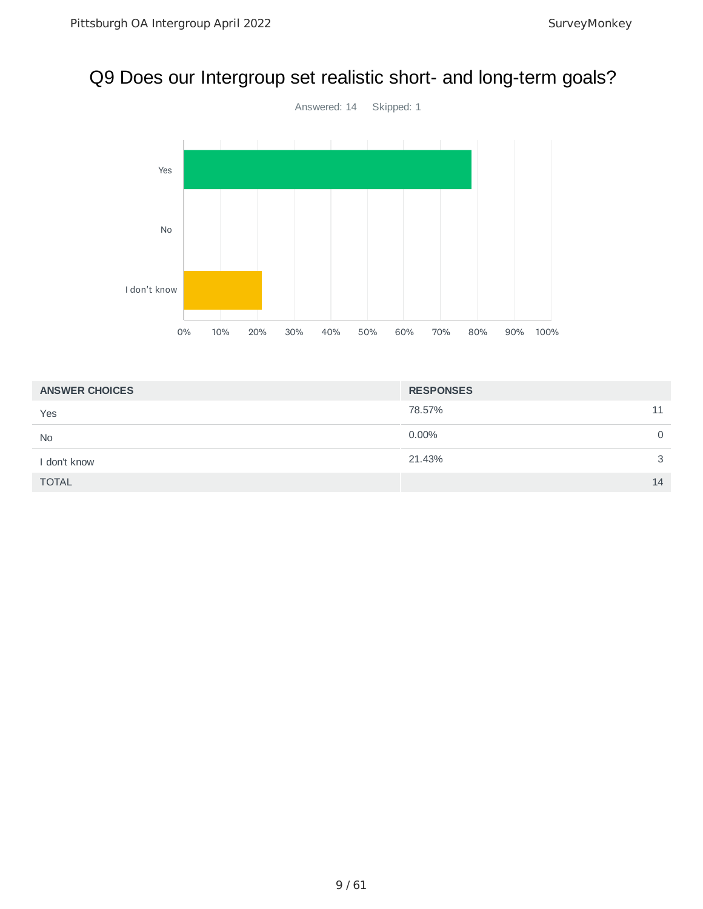#### Q9 Does our Intergroup set realistic short- and long-term goals?



| <b>ANSWER CHOICES</b> | <b>RESPONSES</b>     |  |  |
|-----------------------|----------------------|--|--|
| Yes                   | 78.57%<br>11         |  |  |
| <b>No</b>             | $0.00\%$<br>$\Omega$ |  |  |
| I don't know          | 21.43%<br>3          |  |  |
| <b>TOTAL</b>          | 14                   |  |  |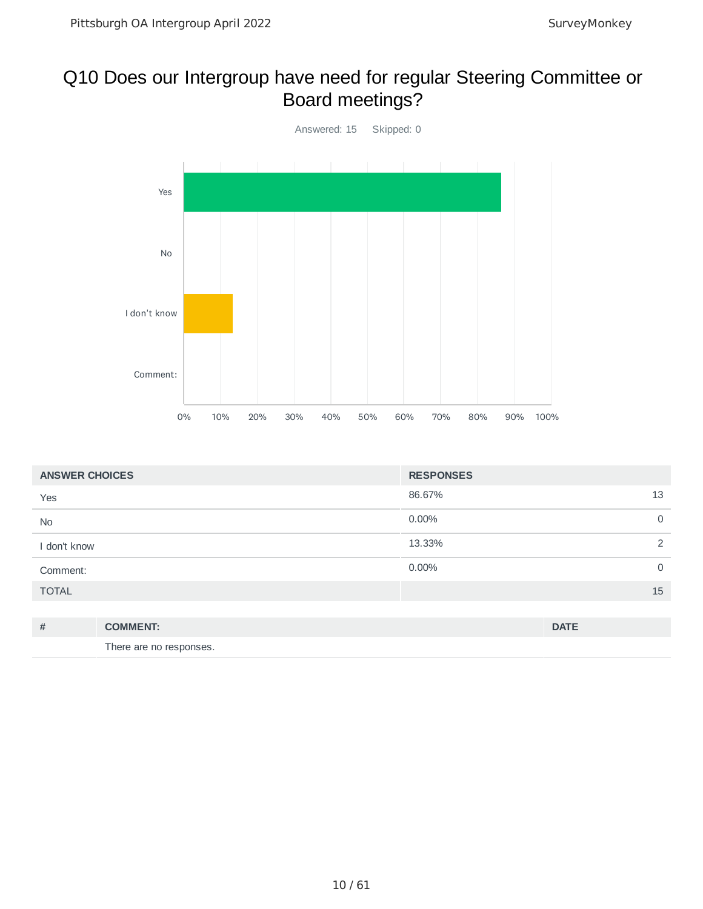#### Q10 Does our Intergroup have need for regular Steering Committee or Board meetings?



| <b>ANSWER CHOICES</b> |                         | <b>RESPONSES</b> |             |
|-----------------------|-------------------------|------------------|-------------|
| Yes                   |                         | 86.67%           | 13          |
| <b>No</b>             |                         | 0.00%            | $\mathbf 0$ |
| I don't know          |                         | 13.33%           | 2           |
| Comment:              |                         | 0.00%            | $\mathbf 0$ |
| <b>TOTAL</b>          |                         |                  | 15          |
|                       |                         |                  |             |
| #                     | <b>COMMENT:</b>         |                  | <b>DATE</b> |
|                       | There are no responses. |                  |             |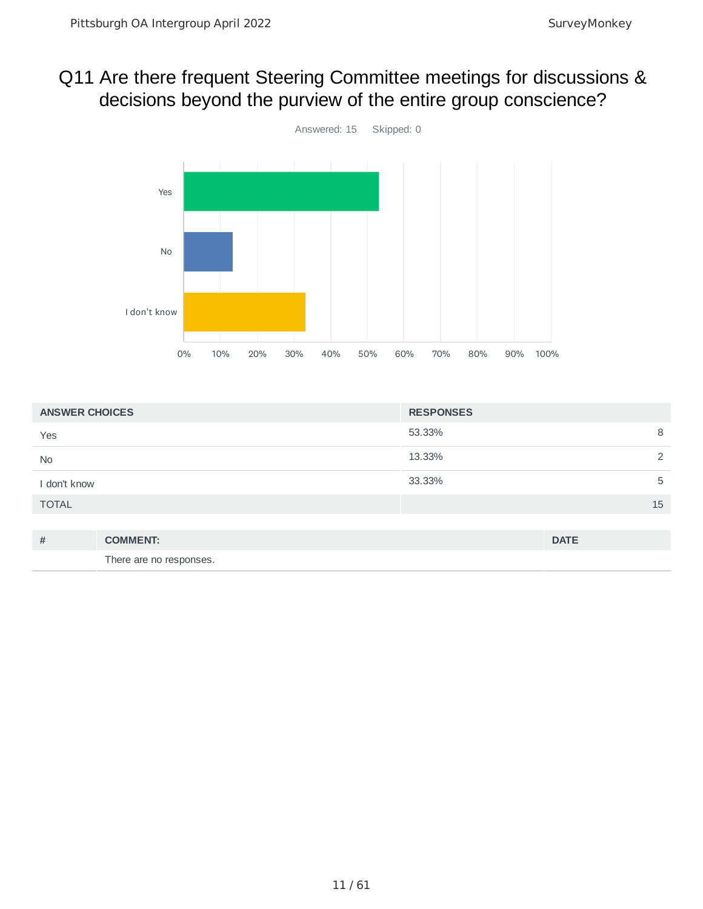#### Q11 Are there frequent Steering Committee meetings for discussions & decisions beyond the purview of the entire group conscience?



| <b>ANSWER CHOICES</b> |                 | <b>RESPONSES</b> |             |
|-----------------------|-----------------|------------------|-------------|
| Yes                   |                 | 53.33%           | 8           |
| No                    |                 | 13.33%           | 2           |
| I don't know          |                 | 33.33%           | 5           |
| <b>TOTAL</b>          |                 |                  | 15          |
|                       |                 |                  |             |
| #                     | <b>COMMENT:</b> |                  | <b>DATE</b> |

There are no responses.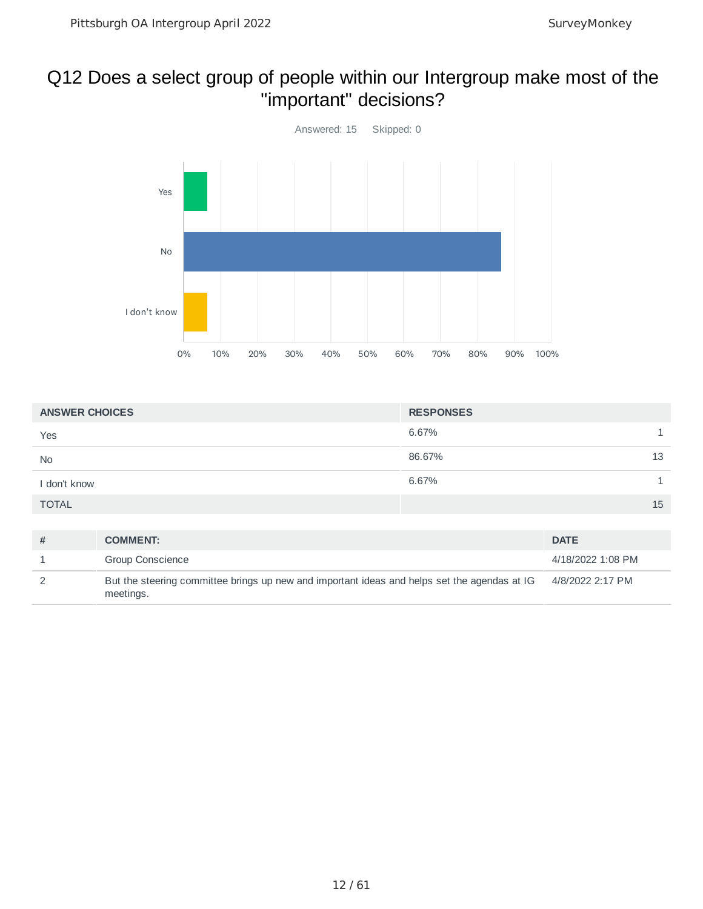#### Q12 Does a select group of people within our Intergroup make most of the "important" decisions?



| <b>ANSWER CHOICES</b> | <b>RESPONSES</b> |
|-----------------------|------------------|
| Yes                   | 6.67%            |
| <b>No</b>             | 86.67%<br>13     |
| I don't know          | 6.67%            |
| <b>TOTAL</b>          | 15               |

| # | <b>COMMENT:</b>                                                                                           | <b>DATE</b>       |
|---|-----------------------------------------------------------------------------------------------------------|-------------------|
|   | <b>Group Conscience</b>                                                                                   | 4/18/2022 1:08 PM |
|   | But the steering committee brings up new and important ideas and helps set the agendas at IG<br>meetings. | 4/8/2022 2:17 PM  |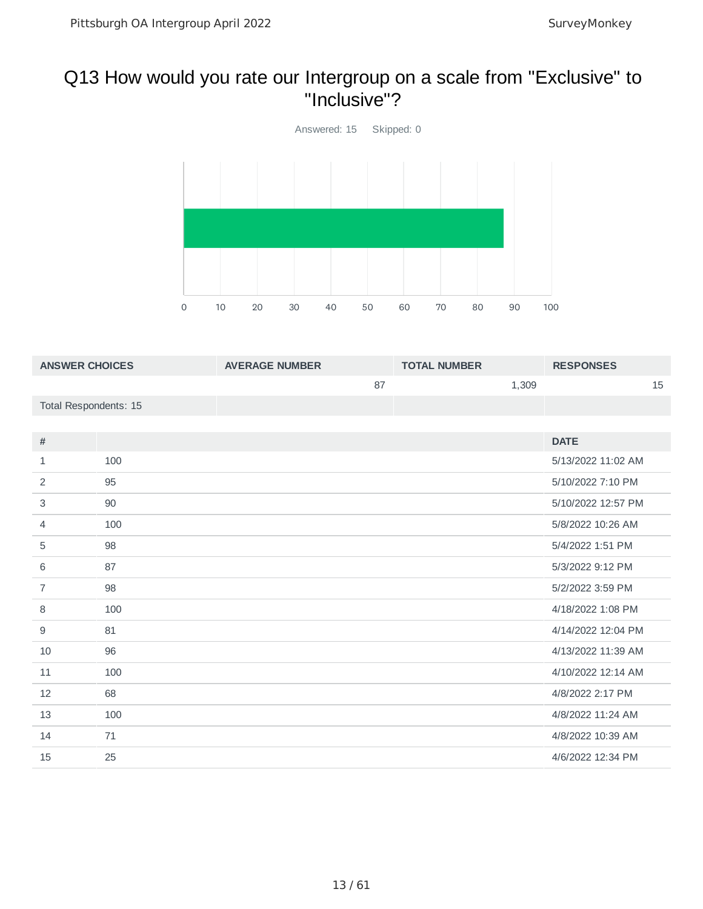#### Q13 How would you rate our Intergroup on a scale from "Exclusive" to "Inclusive"?



| <b>ANSWER CHOICES</b> |     | <b>AVERAGE NUMBER</b> |    | <b>TOTAL NUMBER</b> |       | <b>RESPONSES</b>   |    |
|-----------------------|-----|-----------------------|----|---------------------|-------|--------------------|----|
|                       |     |                       | 87 |                     | 1,309 |                    | 15 |
| Total Respondents: 15 |     |                       |    |                     |       |                    |    |
|                       |     |                       |    |                     |       |                    |    |
| #                     |     |                       |    |                     |       | <b>DATE</b>        |    |
| $\mathbf{1}$          | 100 |                       |    |                     |       | 5/13/2022 11:02 AM |    |
| 2                     | 95  |                       |    |                     |       | 5/10/2022 7:10 PM  |    |
| 3                     | 90  |                       |    |                     |       | 5/10/2022 12:57 PM |    |
| 4                     | 100 |                       |    |                     |       | 5/8/2022 10:26 AM  |    |
| 5                     | 98  |                       |    |                     |       | 5/4/2022 1:51 PM   |    |
| 6                     | 87  |                       |    |                     |       | 5/3/2022 9:12 PM   |    |
| $\overline{7}$        | 98  |                       |    |                     |       | 5/2/2022 3:59 PM   |    |
| 8                     | 100 |                       |    |                     |       | 4/18/2022 1:08 PM  |    |
| 9                     | 81  |                       |    |                     |       | 4/14/2022 12:04 PM |    |
| 10                    | 96  |                       |    |                     |       | 4/13/2022 11:39 AM |    |
| 11                    | 100 |                       |    |                     |       | 4/10/2022 12:14 AM |    |
| 12                    | 68  |                       |    |                     |       | 4/8/2022 2:17 PM   |    |
| 13                    | 100 |                       |    |                     |       | 4/8/2022 11:24 AM  |    |
| 14                    | 71  |                       |    |                     |       | 4/8/2022 10:39 AM  |    |
| 15                    | 25  |                       |    |                     |       | 4/6/2022 12:34 PM  |    |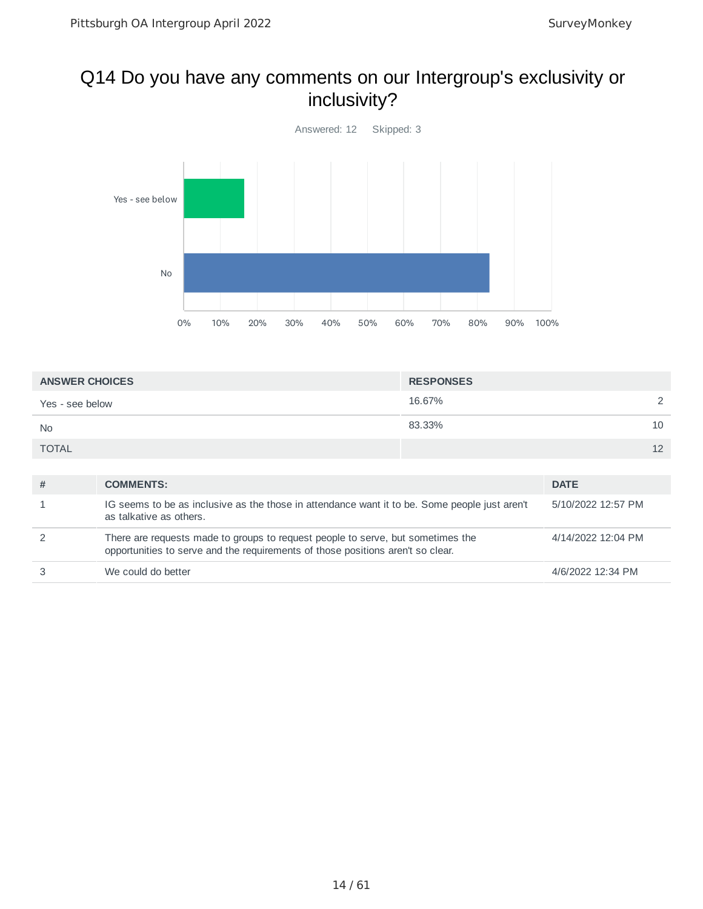#### Q14 Do you have any comments on our Intergroup's exclusivity or inclusivity?



| <b>ANSWER CHOICES</b> | <b>RESPONSES</b> |    |
|-----------------------|------------------|----|
| Yes - see below       | 16.67%           | ⌒  |
| <b>No</b>             | 83.33%           | 10 |
| <b>TOTAL</b>          |                  | 12 |

| # | <b>COMMENTS:</b>                                                                                                                                                   | <b>DATE</b>        |
|---|--------------------------------------------------------------------------------------------------------------------------------------------------------------------|--------------------|
|   | IG seems to be as inclusive as the those in attendance want it to be. Some people just aren't<br>as talkative as others.                                           | 5/10/2022 12:57 PM |
|   | There are requests made to groups to request people to serve, but sometimes the<br>opportunities to serve and the requirements of those positions aren't so clear. | 4/14/2022 12:04 PM |
|   | We could do better                                                                                                                                                 | 4/6/2022 12:34 PM  |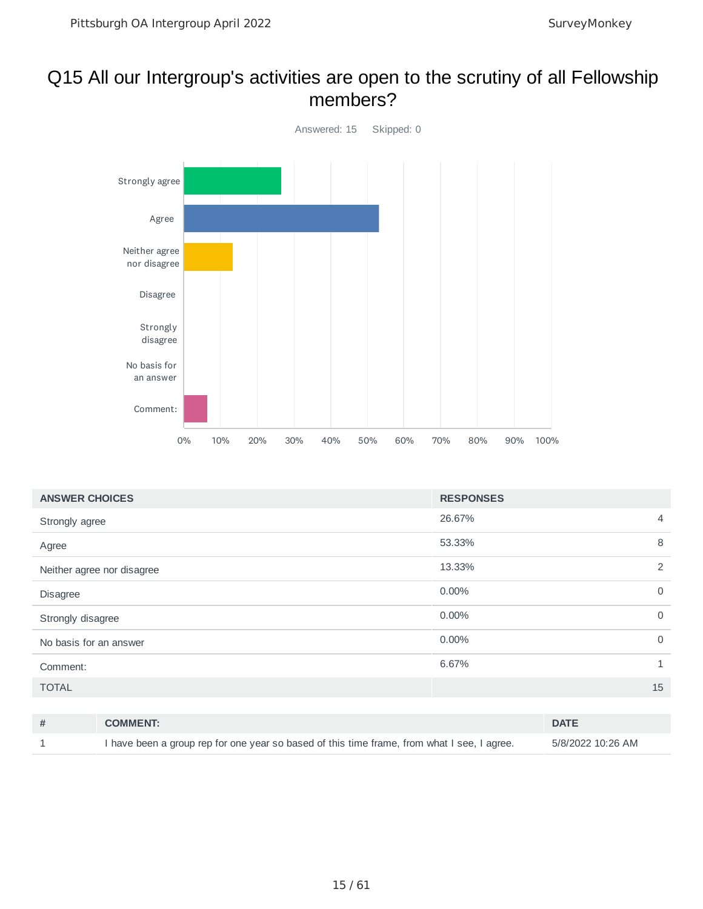#### Q15 All our Intergroup's activities are open to the scrutiny of all Fellowship members?



| <b>RESPONSES</b> |                |
|------------------|----------------|
| 26.67%           | $\overline{4}$ |
| 53.33%           | 8              |
| 13.33%           | 2              |
| 0.00%            | $\mathbf 0$    |
| 0.00%            | $\mathbf 0$    |
| 0.00%            | $\mathbf 0$    |
| 6.67%            | 1              |
|                  | 15             |
|                  |                |

| <b>COMMENT:</b>                                                                             | <b>DATE</b>       |
|---------------------------------------------------------------------------------------------|-------------------|
| I have been a group rep for one year so based of this time frame, from what I see, I agree. | 5/8/2022 10:26 AM |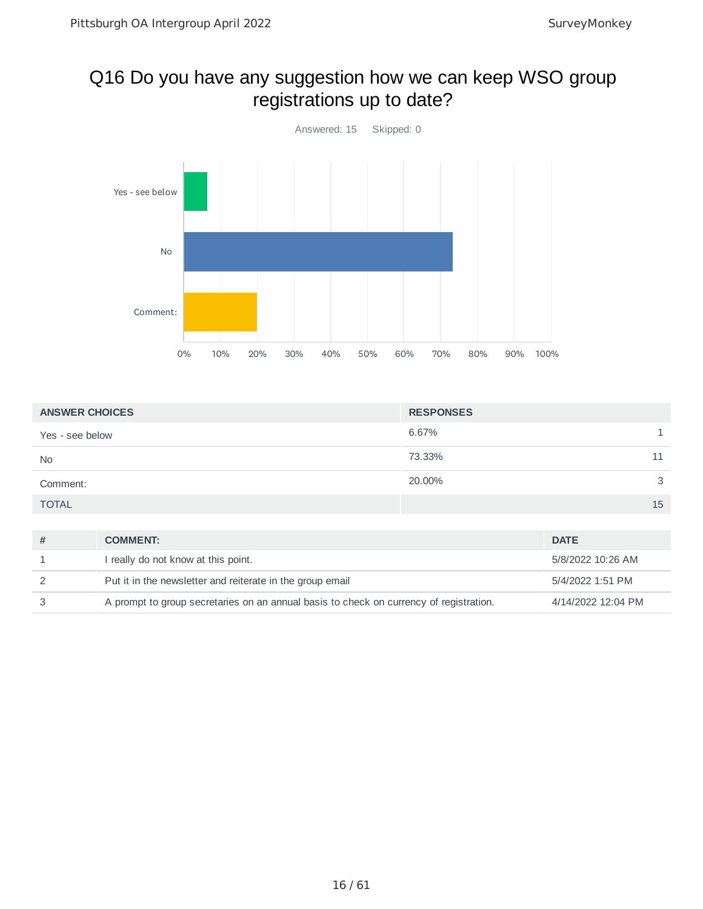#### Q16 Do you have any suggestion how we can keep WSO group registrations up to date?



| <b>ANSWER CHOICES</b> | <b>RESPONSES</b> |  |
|-----------------------|------------------|--|
| Yes - see below       | 6.67%            |  |
| <b>No</b>             | 73.33%<br>11     |  |
| Comment:              | 20.00%<br>3      |  |
| <b>TOTAL</b>          | 15               |  |
|                       |                  |  |

| # | <b>COMMENT:</b>                                                                        | <b>DATE</b>        |
|---|----------------------------------------------------------------------------------------|--------------------|
|   | I really do not know at this point.                                                    | 5/8/2022 10:26 AM  |
|   | Put it in the newsletter and reiterate in the group email                              | 5/4/2022 1:51 PM   |
|   | A prompt to group secretaries on an annual basis to check on currency of registration. | 4/14/2022 12:04 PM |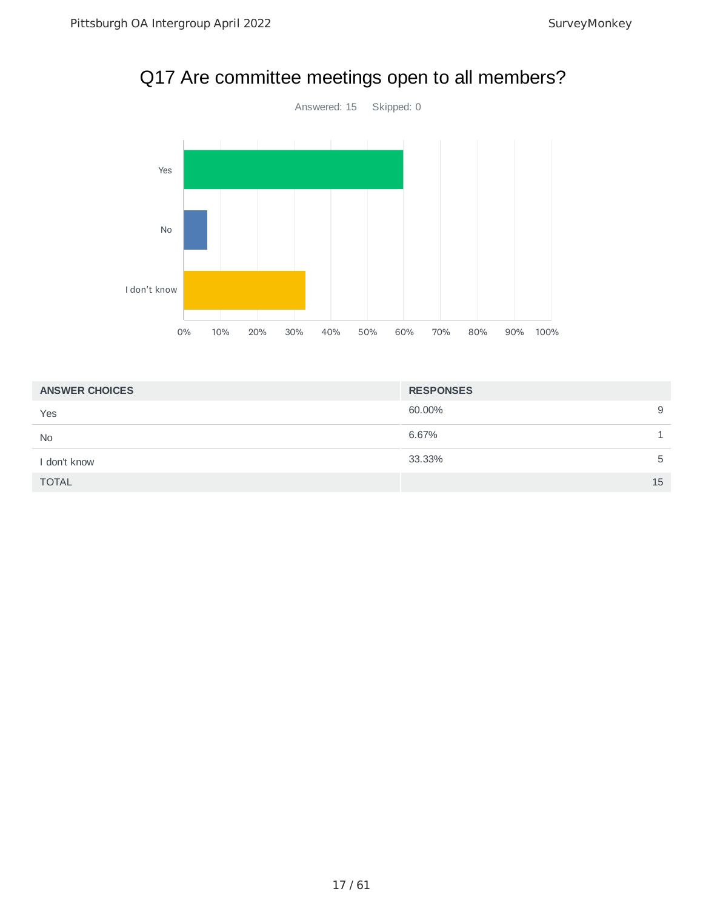

#### Q17 Are committee meetings open to all members?

| <b>ANSWER CHOICES</b> | <b>RESPONSES</b> |    |
|-----------------------|------------------|----|
| Yes                   | 60.00%           | 9  |
| <b>No</b>             | 6.67%            |    |
| I don't know          | 33.33%           | 5  |
| <b>TOTAL</b>          |                  | 15 |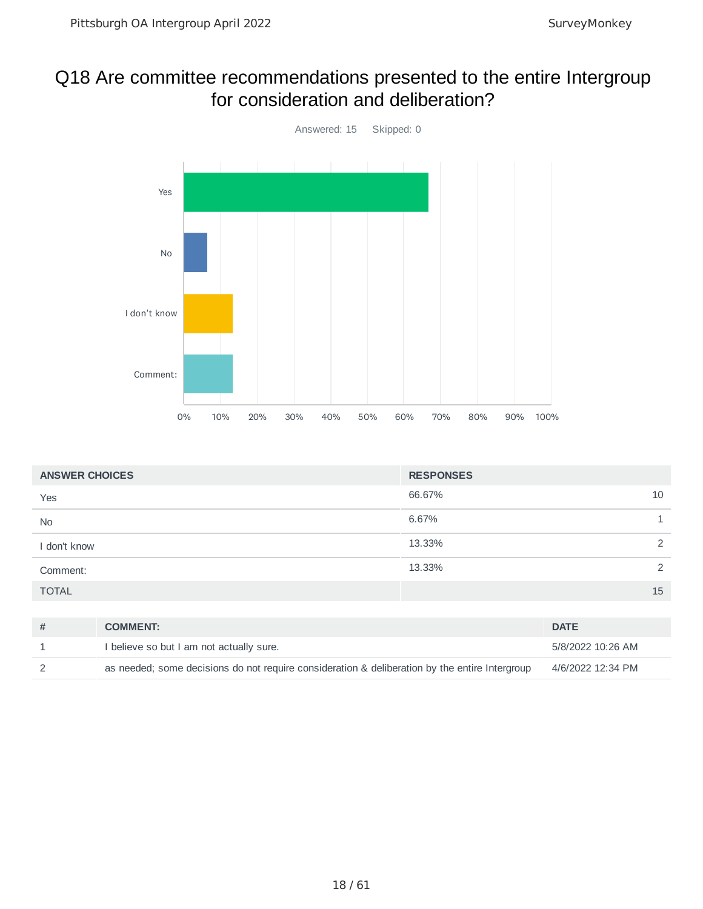#### Q18 Are committee recommendations presented to the entire Intergroup for consideration and deliberation?



| <b>ANSWER CHOICES</b>       | <b>RESPONSES</b> |
|-----------------------------|------------------|
| Yes                         | 66.67%<br>10     |
| No                          | 6.67%            |
| I don't know                | 13.33%<br>2      |
| Comment:                    | 13.33%<br>2      |
| <b>TOTAL</b>                | 15               |
|                             |                  |
| $\overline{u}$<br>COMMUTAL. | <b>DATE</b>      |

| <b>COMMENT:</b>                                                                                | <b>DATE</b>       |
|------------------------------------------------------------------------------------------------|-------------------|
| I believe so but I am not actually sure.                                                       | 5/8/2022 10:26 AM |
| as needed; some decisions do not require consideration & deliberation by the entire Intergroup | 4/6/2022 12:34 PM |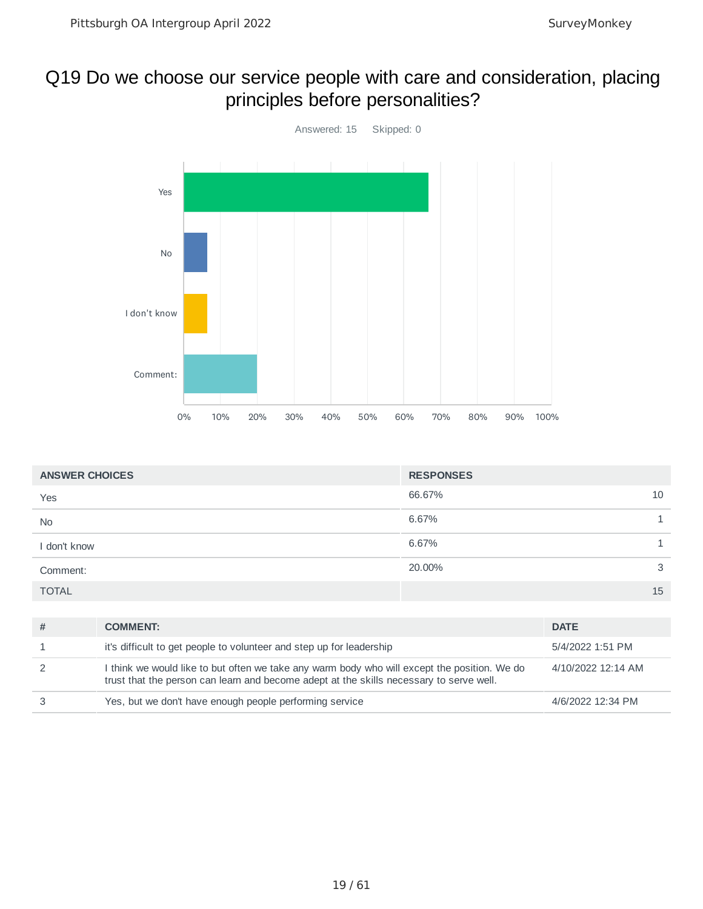#### Q19 Do we choose our service people with care and consideration, placing principles before personalities?



| <b>ANSWER CHOICES</b> | <b>RESPONSES</b> |    |
|-----------------------|------------------|----|
| Yes                   | 66.67%           | 10 |
| <b>No</b>             | 6.67%            |    |
| I don't know          | 6.67%            |    |
| Comment:              | 20.00%           | 3  |
| <b>TOTAL</b>          |                  | 15 |

| # | <b>COMMENT:</b>                                                                                                                                                                         | <b>DATE</b>        |
|---|-----------------------------------------------------------------------------------------------------------------------------------------------------------------------------------------|--------------------|
|   | it's difficult to get people to volunteer and step up for leadership                                                                                                                    | 5/4/2022 1:51 PM   |
|   | I think we would like to but often we take any warm body who will except the position. We do<br>trust that the person can learn and become adept at the skills necessary to serve well. | 4/10/2022 12:14 AM |
|   | Yes, but we don't have enough people performing service                                                                                                                                 | 4/6/2022 12:34 PM  |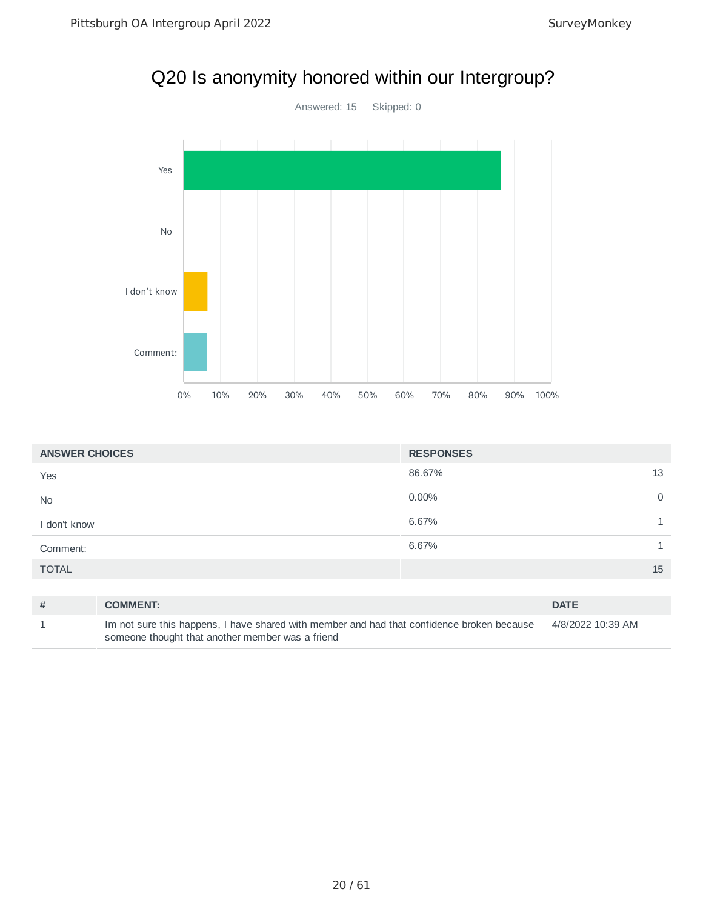

| <b>ANSWER CHOICES</b> |                 | <b>RESPONSES</b> |                         |
|-----------------------|-----------------|------------------|-------------------------|
| Yes                   |                 | 86.67%           | 13                      |
| <b>No</b>             |                 | $0.00\%$         | $\mathbf 0$             |
| I don't know          |                 | 6.67%            |                         |
| Comment:              |                 | 6.67%            | $\mathbf{\overline{1}}$ |
| <b>TOTAL</b>          |                 |                  | 15                      |
|                       |                 |                  |                         |
| #                     | <b>COMMENT:</b> |                  | <b>DATE</b>             |

| Im not sure this happens, I have shared with member and had that confidence broken because | 4/8/2022 10:39 AM |
|--------------------------------------------------------------------------------------------|-------------------|
| someone thought that another member was a friend                                           |                   |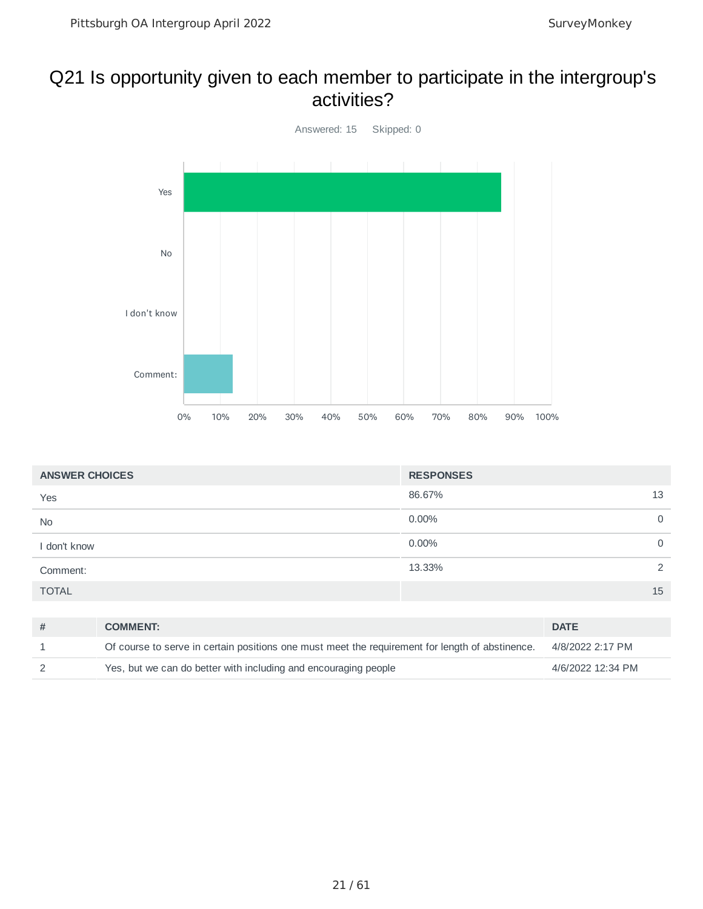#### Q21 Is opportunity given to each member to participate in the intergroup's activities?



| <b>ANSWER CHOICES</b> |                                                                                                           | <b>RESPONSES</b> |              |             |
|-----------------------|-----------------------------------------------------------------------------------------------------------|------------------|--------------|-------------|
| Yes                   |                                                                                                           | 86.67%           |              | 13          |
| <b>No</b>             |                                                                                                           | $0.00\%$         |              | $\mathbf 0$ |
| I don't know          |                                                                                                           | $0.00\%$         |              | $\mathbf 0$ |
| Comment:              |                                                                                                           | 13.33%           |              | 2           |
| <b>TOTAL</b>          |                                                                                                           |                  |              | 15          |
|                       |                                                                                                           |                  |              |             |
| #                     | <b>COMMENT:</b>                                                                                           |                  | <b>DATE</b>  |             |
| $\overline{a}$        | Af commonly common the contribution and some and studies are minimum and for locate of clients and common |                  | AIOIOOOOOOA7 |             |

|                                                                                                 | -----             |
|-------------------------------------------------------------------------------------------------|-------------------|
| Of course to serve in certain positions one must meet the requirement for length of abstinence. | 4/8/2022 2:17 PM  |
| Yes, but we can do better with including and encouraging people                                 | 4/6/2022 12:34 PM |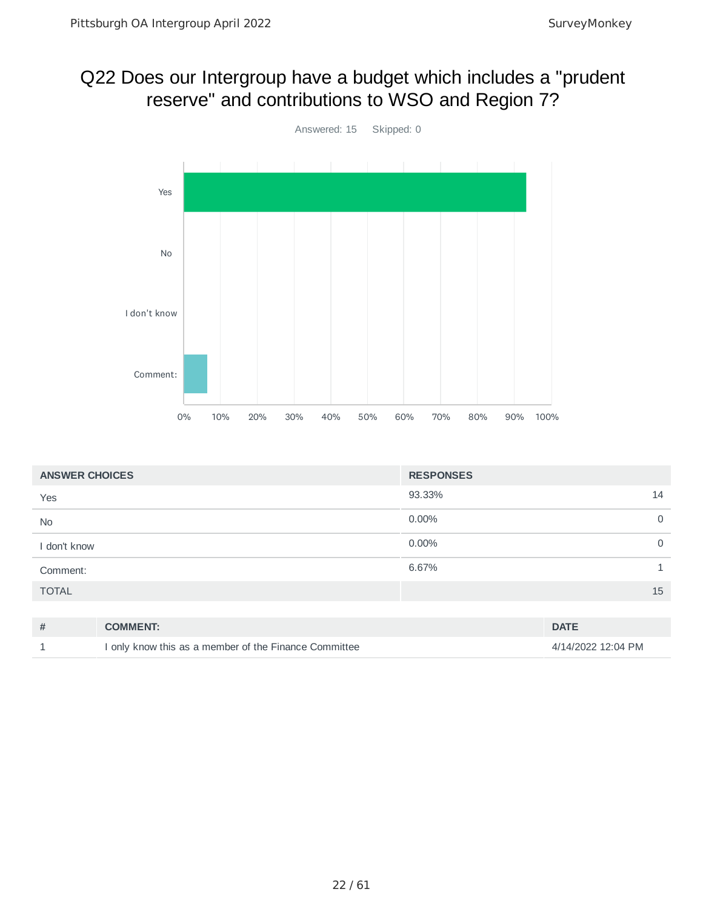### Q22 Does our Intergroup have a budget which includes a "prudent reserve" and contributions to WSO and Region 7?



| <b>ANSWER CHOICES</b> |                                                       | <b>RESPONSES</b> |                    |
|-----------------------|-------------------------------------------------------|------------------|--------------------|
| Yes                   |                                                       | 93.33%           | 14                 |
| No                    |                                                       | 0.00%            | $\mathbf 0$        |
| I don't know          |                                                       | 0.00%            | $\mathbf 0$        |
| Comment:              |                                                       | 6.67%            | 1                  |
| <b>TOTAL</b>          |                                                       |                  | 15                 |
|                       |                                                       |                  |                    |
| #                     | <b>COMMENT:</b>                                       |                  | <b>DATE</b>        |
|                       | I only know this as a member of the Finance Committee |                  | 4/14/2022 12:04 PM |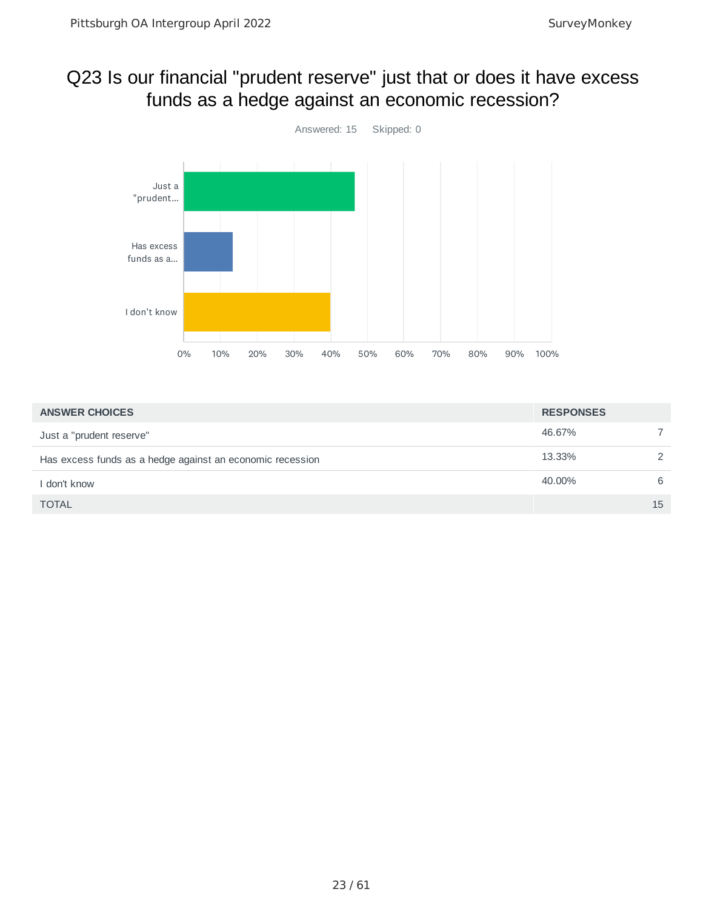#### Q23 Is our financial "prudent reserve" just that or does it have excess funds as a hedge against an economic recession?



| <b>ANSWER CHOICES</b>                                     | <b>RESPONSES</b> |    |
|-----------------------------------------------------------|------------------|----|
| Just a "prudent reserve"                                  | 46.67%           |    |
| Has excess funds as a hedge against an economic recession | 13.33%           | 2  |
| I don't know                                              | 40.00%           | 6  |
| <b>TOTAL</b>                                              |                  | 15 |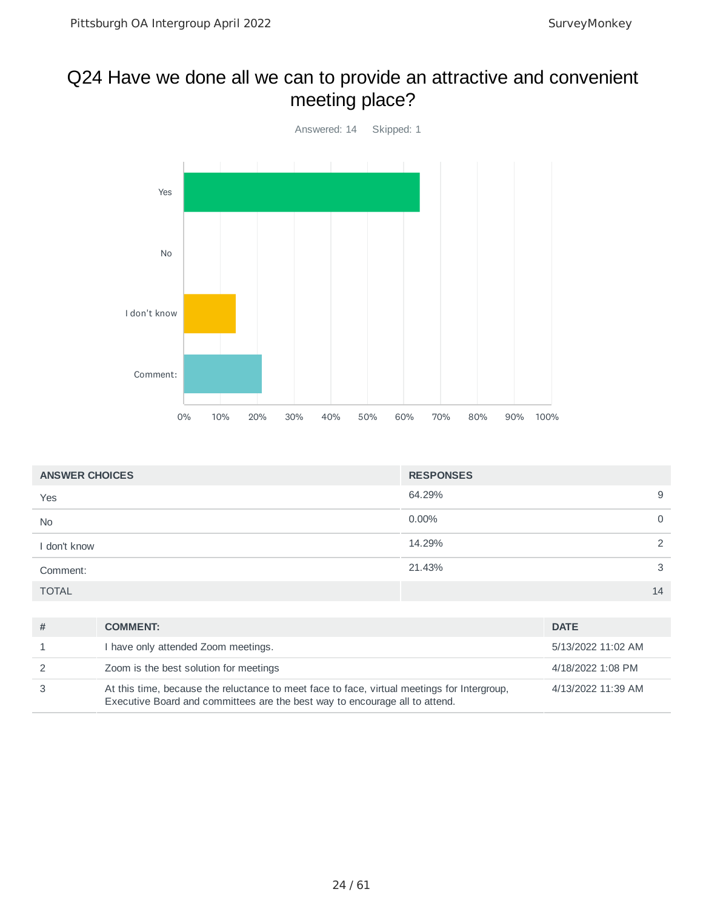#### Q24 Have we done all we can to provide an attractive and convenient meeting place?



| <b>ANSWER CHOICES</b> | <b>RESPONSES</b> |             |
|-----------------------|------------------|-------------|
| Yes                   | 64.29%           | 9           |
| <b>No</b>             | $0.00\%$         | $\mathbf 0$ |
| I don't know          | 14.29%           | 2           |
| Comment:              | 21.43%           | 3           |
| <b>TOTAL</b>          |                  | 14          |

| # | <b>COMMENT:</b>                                                                                                                                                            | <b>DATE</b>        |
|---|----------------------------------------------------------------------------------------------------------------------------------------------------------------------------|--------------------|
|   | I have only attended Zoom meetings.                                                                                                                                        | 5/13/2022 11:02 AM |
|   | Zoom is the best solution for meetings                                                                                                                                     | 4/18/2022 1:08 PM  |
|   | At this time, because the reluctance to meet face to face, virtual meetings for Intergroup,<br>Executive Board and committees are the best way to encourage all to attend. | 4/13/2022 11:39 AM |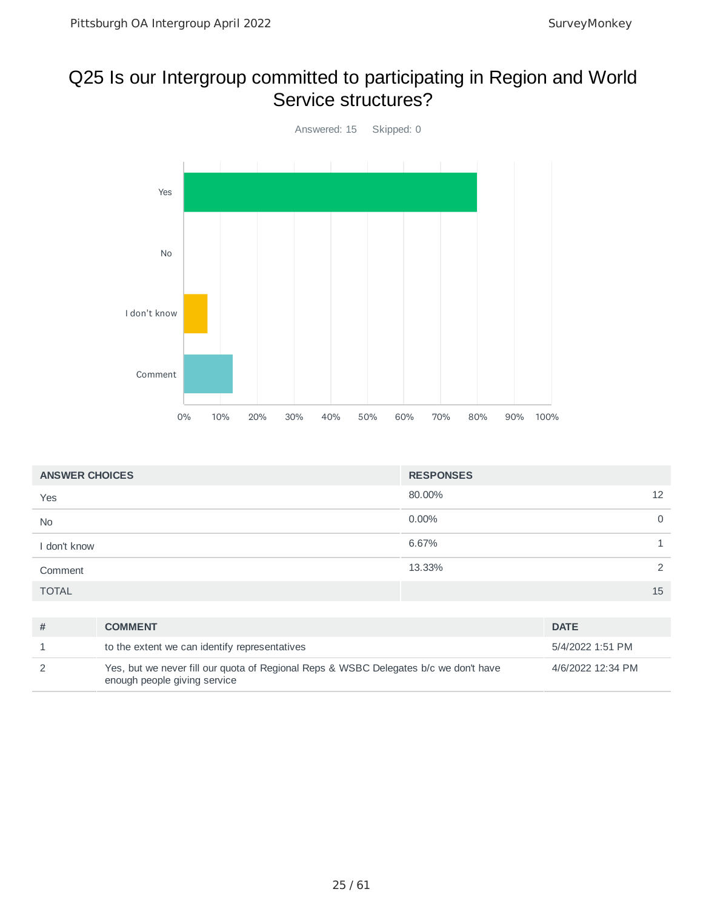#### Q25 Is our Intergroup committed to participating in Region and World Service structures?



| <b>ANSWER CHOICES</b> | <b>RESPONSES</b> |             |
|-----------------------|------------------|-------------|
| Yes                   | 80.00%           | 12          |
| No                    | 0.00%            | $\mathbf 0$ |
| I don't know          | 6.67%            |             |
| Comment               | 13.33%           | 2           |
| <b>TOTAL</b>          |                  | 15          |

| <b>COMMENT</b>                                                                                                       | <b>DATE</b>       |
|----------------------------------------------------------------------------------------------------------------------|-------------------|
| to the extent we can identify representatives                                                                        | 5/4/2022 1:51 PM  |
| Yes, but we never fill our quota of Regional Reps & WSBC Delegates b/c we don't have<br>enough people giving service | 4/6/2022 12:34 PM |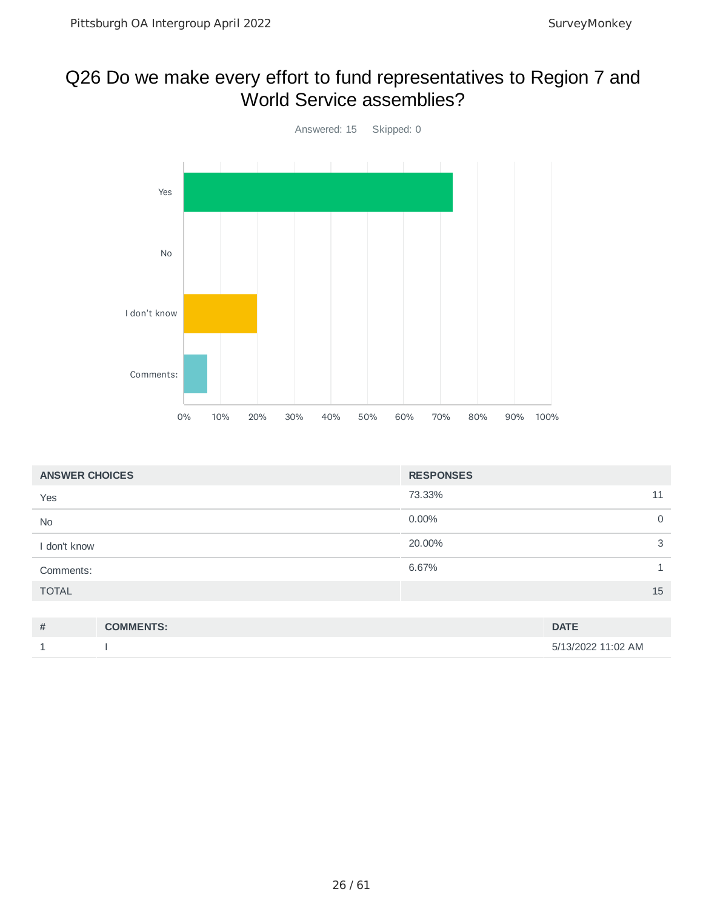#### Q26 Do we make every effort to fund representatives to Region 7 and World Service assemblies?



| <b>ANSWER CHOICES</b> |                  | <b>RESPONSES</b> |             |
|-----------------------|------------------|------------------|-------------|
| Yes                   |                  | 73.33%           | 11          |
| <b>No</b>             |                  | 0.00%            | $\mathbf 0$ |
| I don't know          |                  | 20.00%           | 3           |
| Comments:             |                  | 6.67%            |             |
| <b>TOTAL</b>          |                  |                  | 15          |
|                       |                  |                  |             |
| #                     | <b>COMMENTS:</b> |                  | <b>DATE</b> |

| . | --------------- | ----               |
|---|-----------------|--------------------|
|   |                 | 5/13/2022 11:02 AM |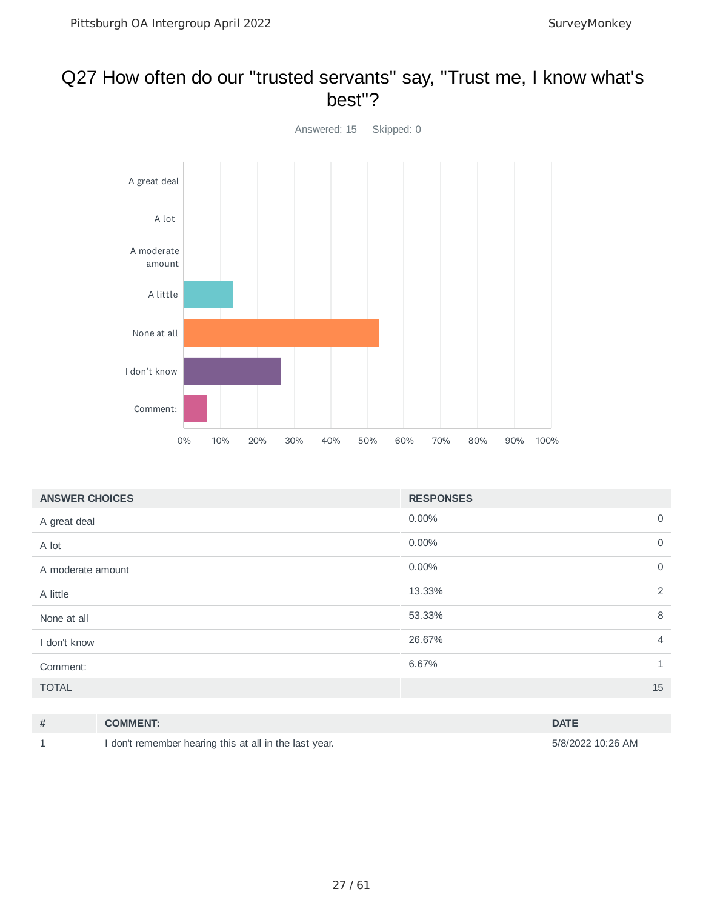#### Q27 How often do our "trusted servants" say, "Trust me, I know what's best"?



| <b>ANSWER CHOICES</b> | <b>RESPONSES</b> |                |
|-----------------------|------------------|----------------|
| A great deal          | 0.00%            | $\overline{0}$ |
| A lot                 | 0.00%            | $\overline{0}$ |
| A moderate amount     | 0.00%            | $\overline{0}$ |
| A little              | 13.33%           | 2              |
| None at all           | 53.33%           | 8              |
| I don't know          | 26.67%           | $\overline{4}$ |
| Comment:              | 6.67%            | $\mathbf{1}$   |
| <b>TOTAL</b>          |                  | 15             |

| # | <b>COMMENT:</b>                                        | <b>DATE</b>       |
|---|--------------------------------------------------------|-------------------|
|   | I don't remember hearing this at all in the last year. | 5/8/2022 10:26 AM |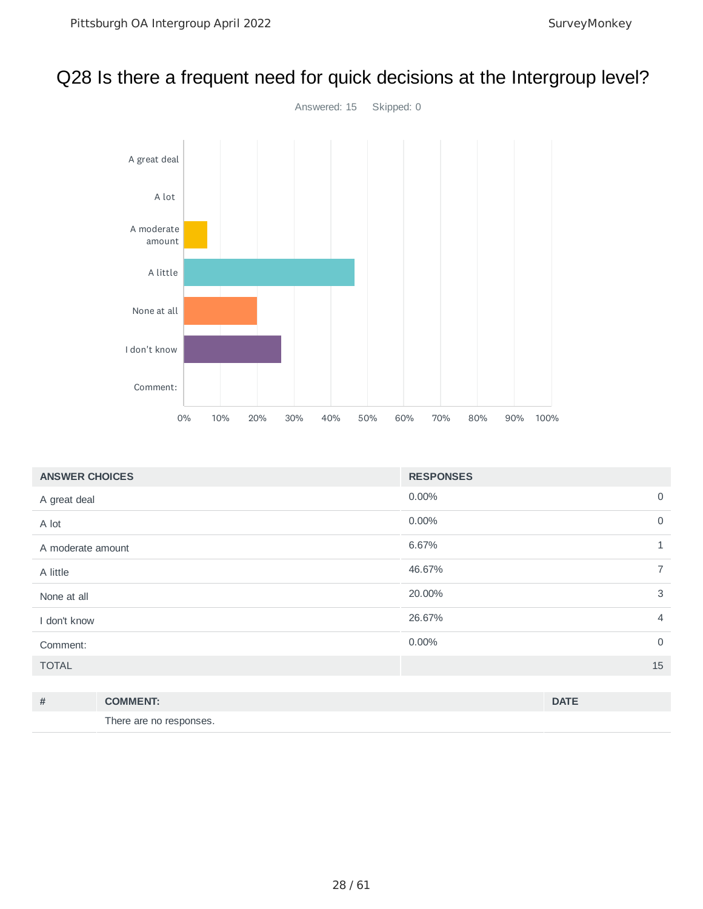# Q28 Is there a frequent need for quick decisions at the Intergroup level?



| <b>ANSWER CHOICES</b> | <b>RESPONSES</b> |                |
|-----------------------|------------------|----------------|
| A great deal          | 0.00%            | $\mathsf{O}$   |
| A lot                 | 0.00%            | $\mathsf{O}$   |
| A moderate amount     | 6.67%            | $\mathbf{1}$   |
| A little              | 46.67%           | $\overline{7}$ |
| None at all           | 20.00%           | 3              |
| I don't know          | 26.67%           | $\overline{4}$ |
| Comment:              | 0.00%            | $\overline{0}$ |
| <b>TOTAL</b>          |                  | 15             |
|                       |                  |                |

| # | <b>COMMENT:</b>         | <b>DATE</b> |
|---|-------------------------|-------------|
|   | There are no responses. |             |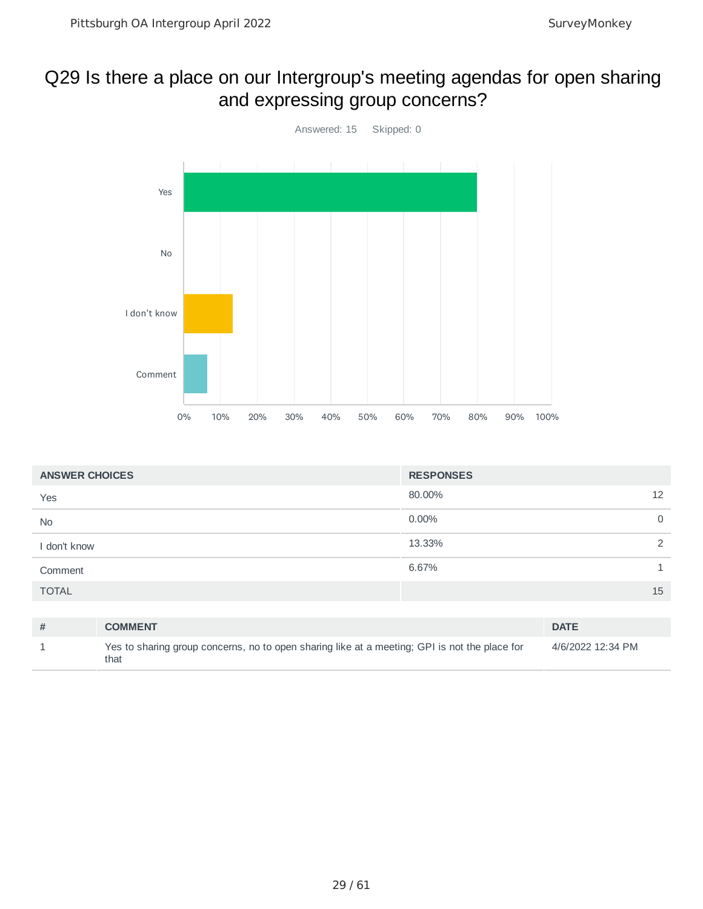#### Q29 Is there a place on our Intergroup's meeting agendas for open sharing and expressing group concerns?



| <b>ANSWER CHOICES</b> |                                                                                                       | <b>RESPONSES</b> |                   |          |
|-----------------------|-------------------------------------------------------------------------------------------------------|------------------|-------------------|----------|
| Yes                   |                                                                                                       | 80.00%           |                   | 12       |
| No                    |                                                                                                       | $0.00\%$         |                   | $\Omega$ |
| I don't know          |                                                                                                       | 13.33%           |                   | 2        |
| Comment               |                                                                                                       | 6.67%            |                   | 1        |
| <b>TOTAL</b>          |                                                                                                       |                  |                   | 15       |
|                       |                                                                                                       |                  |                   |          |
| #                     | <b>COMMENT</b>                                                                                        |                  | <b>DATE</b>       |          |
|                       | Yes to sharing group concerns, no to open sharing like at a meeting; GPI is not the place for<br>that |                  | 4/6/2022 12:34 PM |          |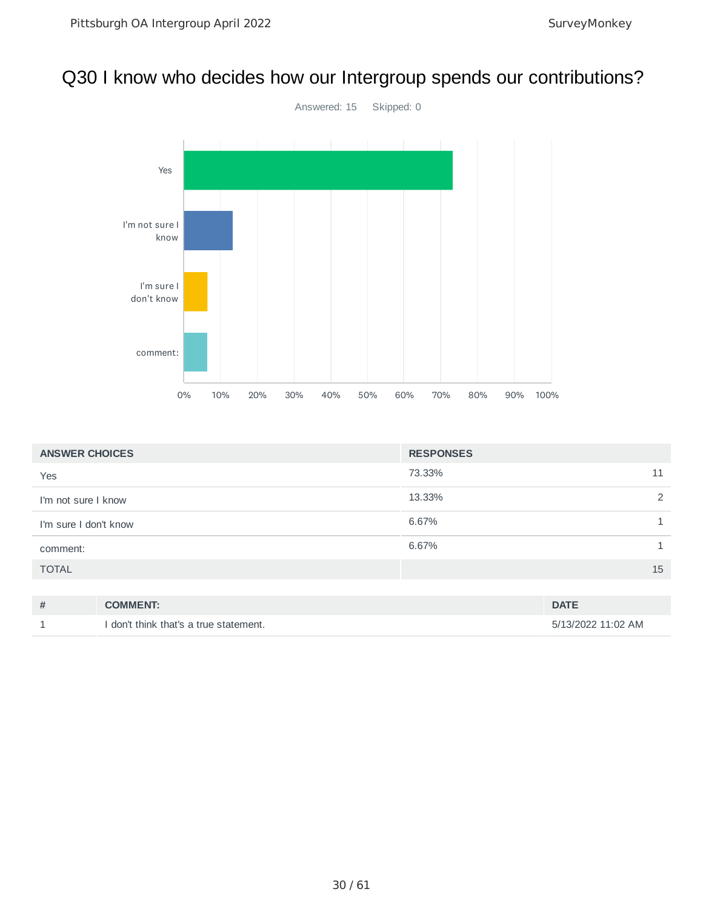#### Q30 I know who decides how our Intergroup spends our contributions?



| <b>ANSWER CHOICES</b> |                 | <b>RESPONSES</b> |             |
|-----------------------|-----------------|------------------|-------------|
| Yes                   |                 | 73.33%           | 11          |
| I'm not sure I know   |                 | 13.33%           |             |
| I'm sure I don't know |                 | 6.67%            |             |
| comment:              |                 | 6.67%            |             |
| <b>TOTAL</b>          |                 |                  | 15          |
|                       |                 |                  |             |
| #                     | <b>COMMENT:</b> |                  | <b>DATE</b> |

1 I don't think that's a true statement. 5/13/2022 11:02 AM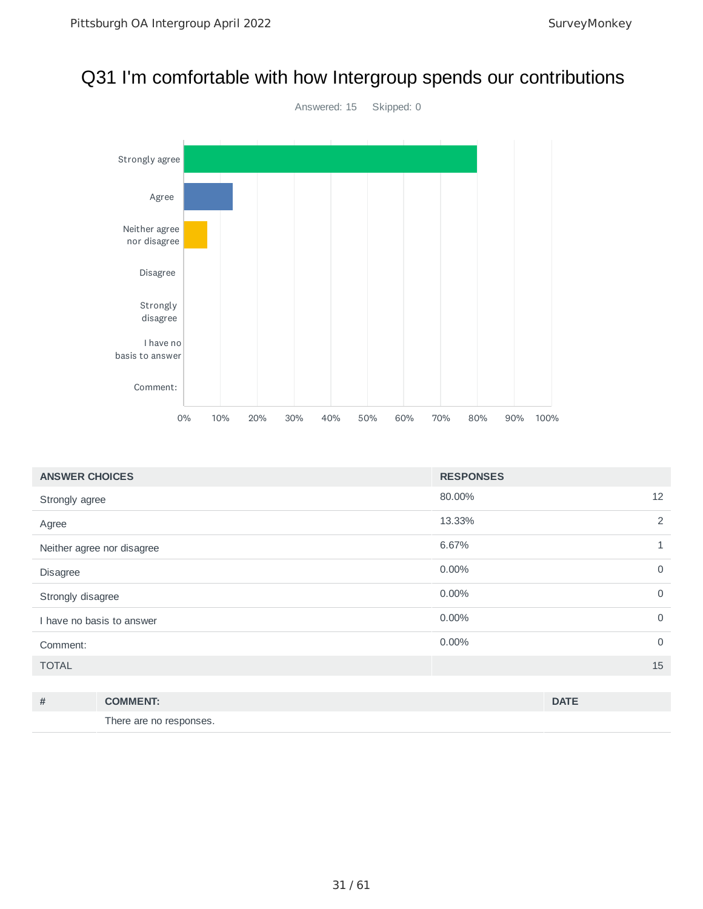#### Q31 I'm comfortable with how Intergroup spends our contributions



| <b>ANSWER CHOICES</b>      | <b>RESPONSES</b> |              |
|----------------------------|------------------|--------------|
| Strongly agree             | 12<br>80.00%     |              |
| Agree                      | 13.33%           | 2            |
| Neither agree nor disagree | 6.67%            | $\mathbf{1}$ |
| Disagree                   | 0.00%            | $\mathbf 0$  |
| Strongly disagree          | 0.00%            | $\mathbf 0$  |
| I have no basis to answer  | 0.00%            | $\mathbf 0$  |
| Comment:                   | 0.00%            | $\mathbf 0$  |
| <b>TOTAL</b>               | 15               |              |
|                            |                  |              |

| # | <b>COMMENT:</b>         | <b>DATE</b> |
|---|-------------------------|-------------|
|   | There are no responses. |             |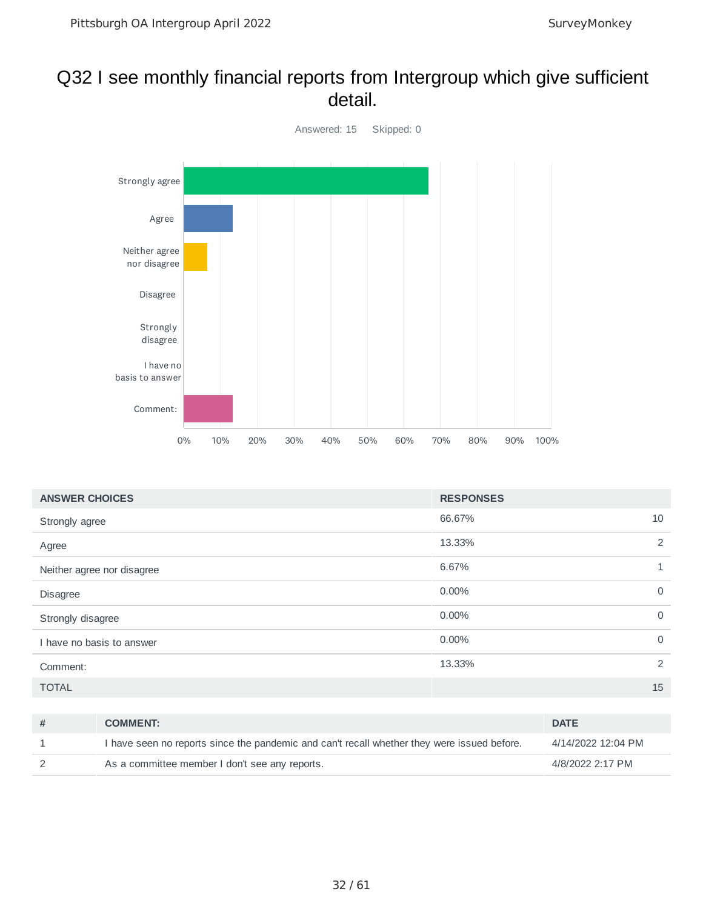#### Q32 I see monthly financial reports from Intergroup which give sufficient detail.



| <b>ANSWER CHOICES</b>      | <b>RESPONSES</b>        |
|----------------------------|-------------------------|
| Strongly agree             | 66.67%<br>10            |
| Agree                      | 2<br>13.33%             |
| Neither agree nor disagree | 6.67%<br>$\mathbf{1}$   |
| Disagree                   | $\mathbf 0$<br>$0.00\%$ |
| Strongly disagree          | 0.00%<br>$\mathbf 0$    |
| I have no basis to answer  | 0.00%<br>$\mathbf 0$    |
| Comment:                   | 2<br>13.33%             |
| <b>TOTAL</b>               | 15                      |

| <b>COMMENT:</b>                                                                             | <b>DATE</b>        |
|---------------------------------------------------------------------------------------------|--------------------|
| I have seen no reports since the pandemic and can't recall whether they were issued before. | 4/14/2022 12:04 PM |
| As a committee member I don't see any reports.                                              | 4/8/2022 2:17 PM   |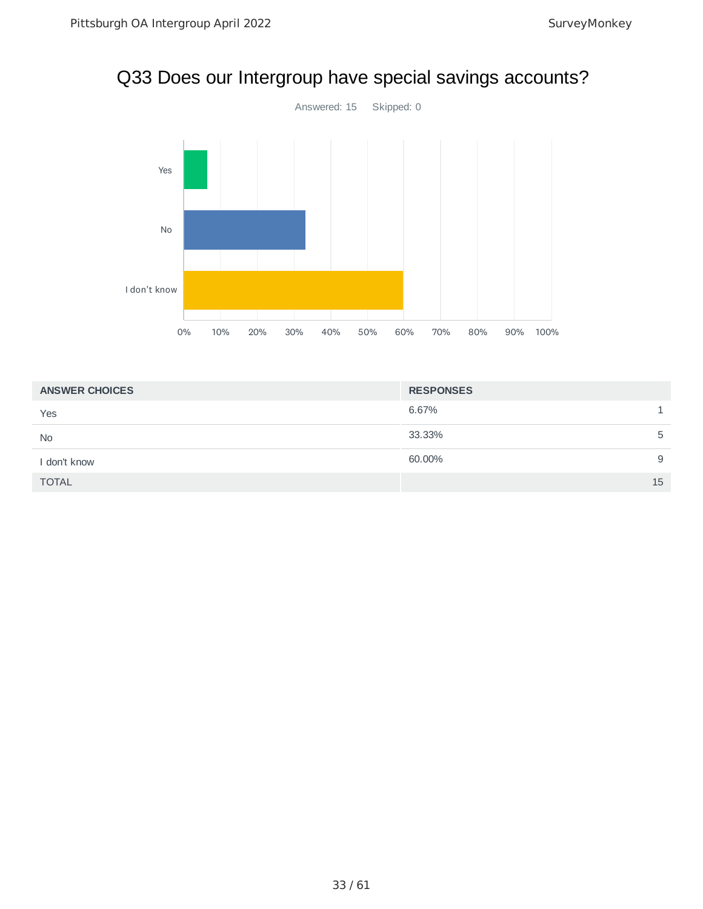#### Q33 Does our Intergroup have special savings accounts?



| <b>ANSWER CHOICES</b> | <b>RESPONSES</b> |
|-----------------------|------------------|
| Yes                   | 6.67%            |
| <b>No</b>             | 33.33%<br>5      |
| I don't know          | 60.00%<br>9      |
| <b>TOTAL</b>          | 15               |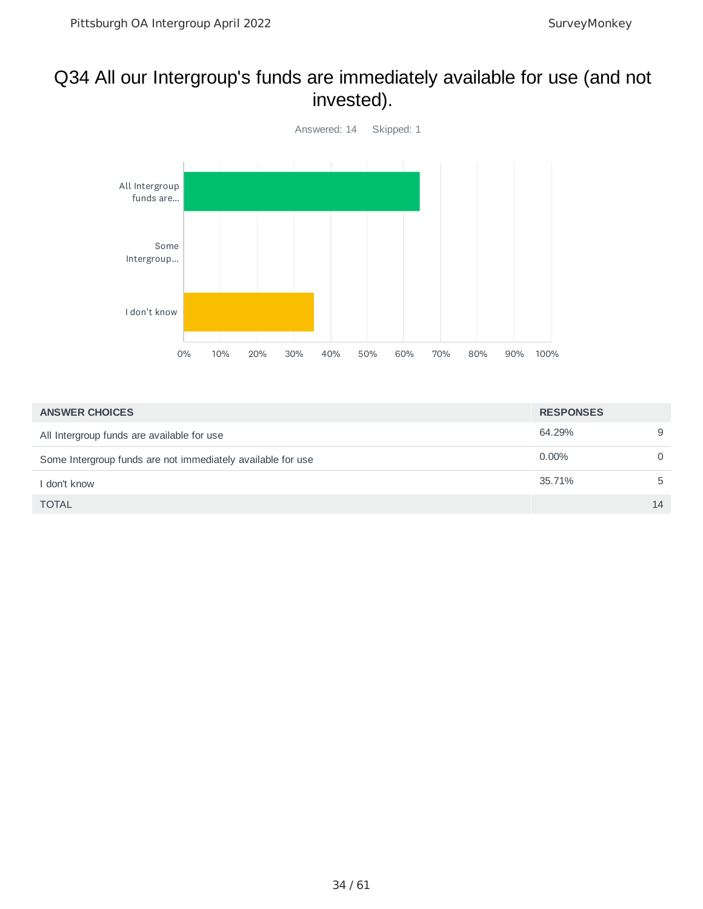#### Q34 All our Intergroup's funds are immediately available for use (and not invested).



| <b>ANSWER CHOICES</b>                                       | <b>RESPONSES</b> |          |
|-------------------------------------------------------------|------------------|----------|
| All Intergroup funds are available for use                  | 64.29%           | 9        |
| Some Intergroup funds are not immediately available for use | $0.00\%$         | $\Omega$ |
| I don't know                                                | 35.71%           | 5        |
| <b>TOTAL</b>                                                |                  | 14       |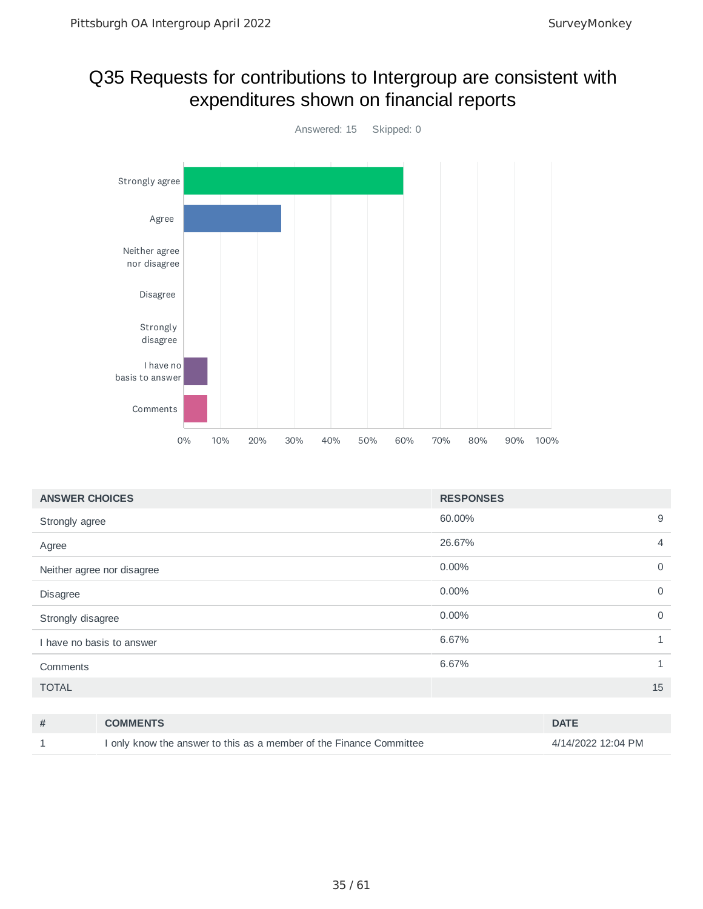#### Q35 Requests for contributions to Intergroup are consistent with expenditures shown on financial reports



| <b>ANSWER CHOICES</b>      | <b>RESPONSES</b> |                |
|----------------------------|------------------|----------------|
| Strongly agree             | 60.00%           | 9              |
| Agree                      | 26.67%           | $\overline{4}$ |
| Neither agree nor disagree | 0.00%            | $\mathbf 0$    |
| Disagree                   | $0.00\%$         | $\mathbf 0$    |
| Strongly disagree          | 0.00%            | $\mathbf 0$    |
| I have no basis to answer  | 6.67%            | 1              |
| Comments                   | 6.67%            | $\mathbf{1}$   |
| <b>TOTAL</b>               |                  | 15             |
|                            |                  |                |

| # | <b>COMMENTS</b>                                                     | <b>DATE</b>        |
|---|---------------------------------------------------------------------|--------------------|
|   | I only know the answer to this as a member of the Finance Committee | 4/14/2022 12:04 PM |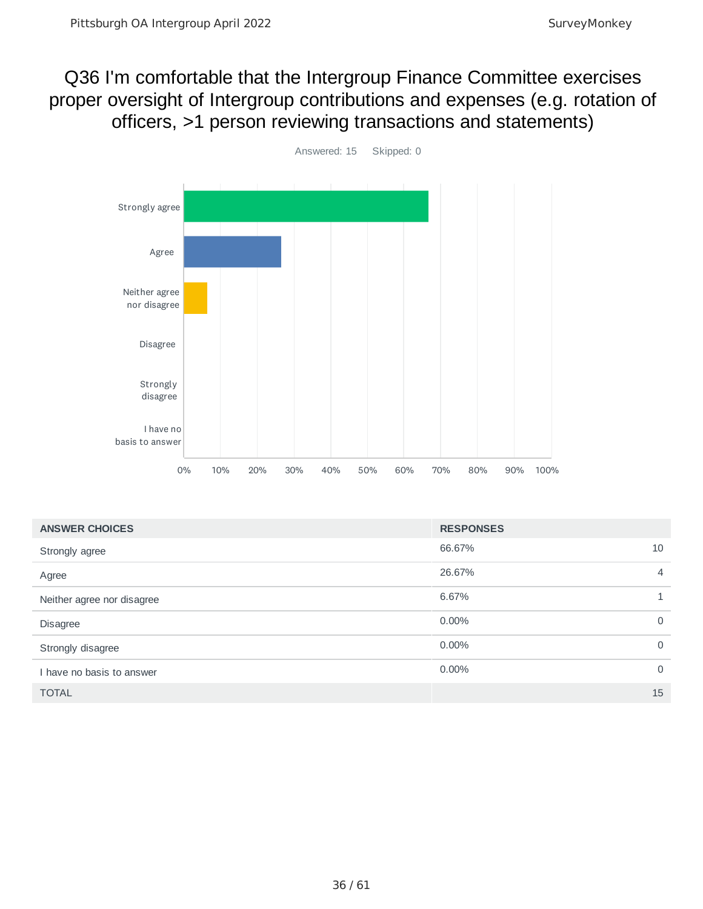#### Q36 I'm comfortable that the Intergroup Finance Committee exercises proper oversight of Intergroup contributions and expenses (e.g. rotation of officers, >1 person reviewing transactions and statements)



| <b>ANSWER CHOICES</b>      | <b>RESPONSES</b> |                |
|----------------------------|------------------|----------------|
| Strongly agree             | 66.67%           | 10             |
| Agree                      | 26.67%           | $\overline{4}$ |
| Neither agree nor disagree | 6.67%            | 1              |
| <b>Disagree</b>            | $0.00\%$         | $\mathbf 0$    |
| Strongly disagree          | $0.00\%$         | $\overline{0}$ |
| I have no basis to answer  | $0.00\%$         | $\Omega$       |
| <b>TOTAL</b>               |                  | 15             |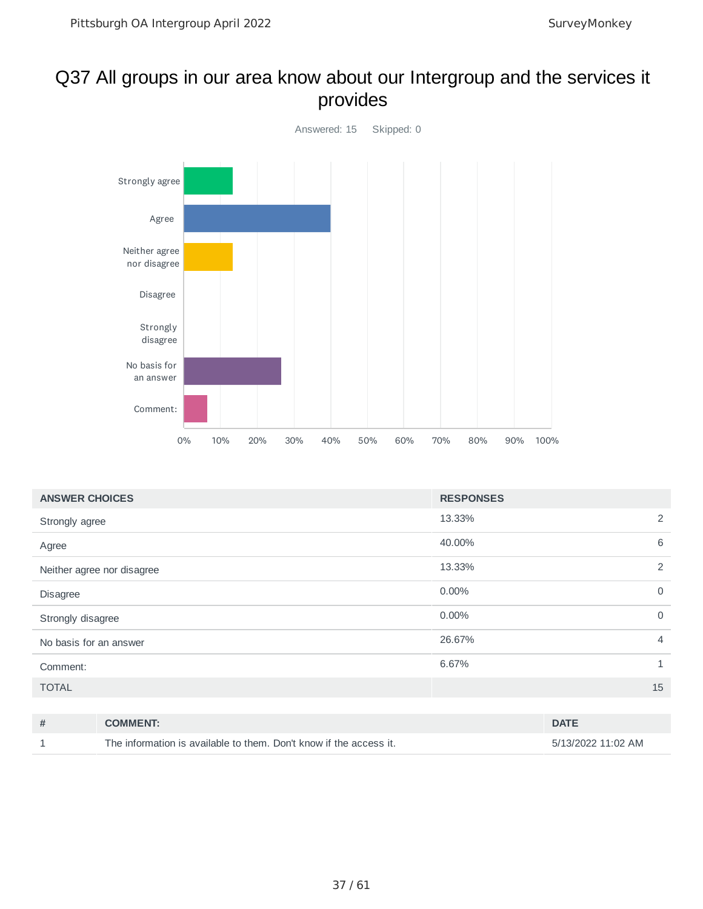#### Q37 All groups in our area know about our Intergroup and the services it provides



| <b>ANSWER CHOICES</b>      | <b>RESPONSES</b>     |   |
|----------------------------|----------------------|---|
| Strongly agree             | 13.33%               | 2 |
| Agree                      | 6<br>40.00%          |   |
| Neither agree nor disagree | 13.33%               | 2 |
| Disagree                   | 0.00%<br>$\mathbf 0$ |   |
| Strongly disagree          | 0.00%<br>$\mathbf 0$ |   |
| No basis for an answer     | 26.67%               | 4 |
| Comment:                   | 6.67%                | 1 |
| <b>TOTAL</b>               | 15                   |   |

| # | <b>COMMENT:</b>                                                    | <b>DATE</b>        |
|---|--------------------------------------------------------------------|--------------------|
|   | The information is available to them. Don't know if the access it. | 5/13/2022 11:02 AM |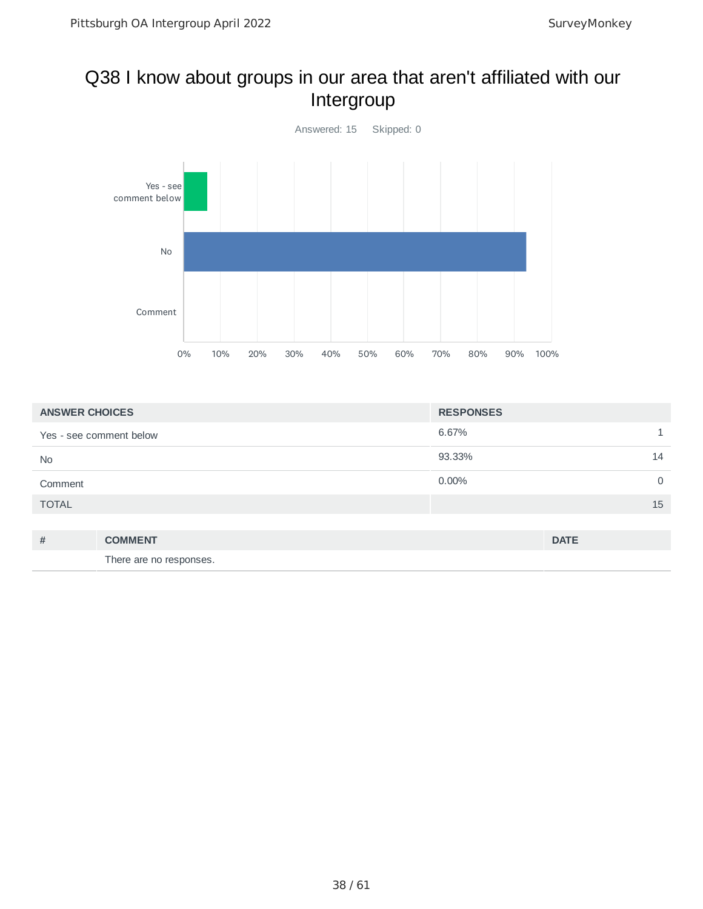#### Q38 I know about groups in our area that aren't affiliated with our Intergroup



| <b>ANSWER CHOICES</b>   |                         | <b>RESPONSES</b> |                |
|-------------------------|-------------------------|------------------|----------------|
| Yes - see comment below |                         | 6.67%            |                |
| <b>No</b>               |                         | 93.33%           | 14             |
| Comment                 |                         | $0.00\%$         | $\overline{0}$ |
| <b>TOTAL</b>            |                         |                  | 15             |
|                         |                         |                  |                |
| #                       | <b>COMMENT</b>          |                  | <b>DATE</b>    |
|                         | There are no responses. |                  |                |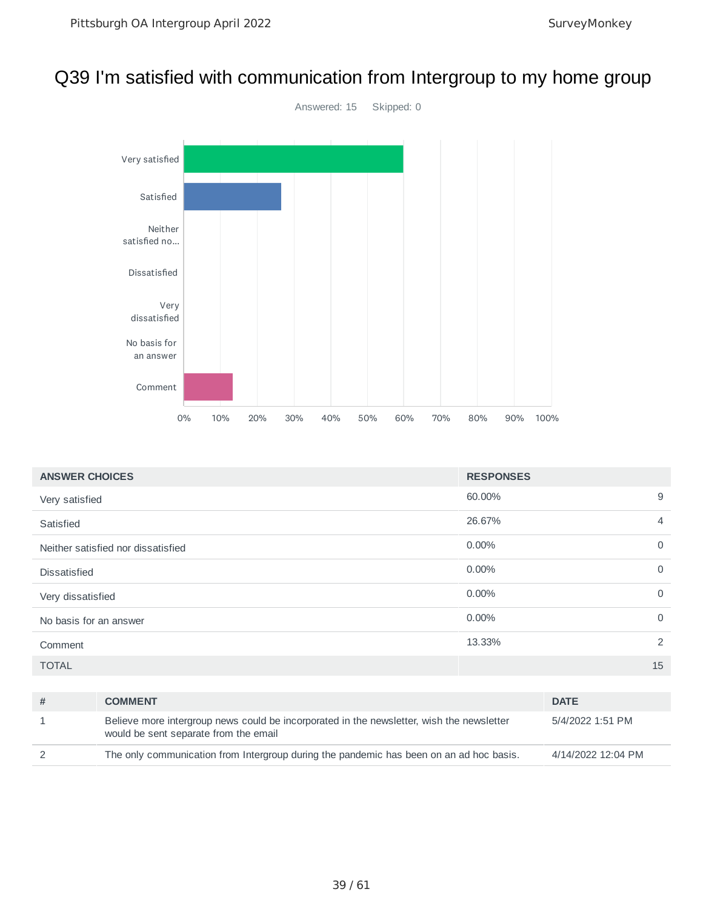#### Q39 I'm satisfied with communication from Intergroup to my home group



| <b>ANSWER CHOICES</b>              | <b>RESPONSES</b> |                |
|------------------------------------|------------------|----------------|
| Very satisfied                     | 60.00%           | 9              |
| Satisfied                          | 26.67%           | $\overline{4}$ |
| Neither satisfied nor dissatisfied | 0.00%            | 0              |
| <b>Dissatisfied</b>                | $0.00\%$         | $\mathbf 0$    |
| Very dissatisfied                  | 0.00%            | $\mathbf 0$    |
| No basis for an answer             | 0.00%            | $\mathbf 0$    |
| Comment                            | 13.33%           | 2              |
| <b>TOTAL</b>                       |                  | 15             |
|                                    |                  |                |

| <b>COMMENT</b>                                                                                                                     | <b>DATE</b>        |
|------------------------------------------------------------------------------------------------------------------------------------|--------------------|
| Believe more intergroup news could be incorporated in the newsletter, wish the newsletter<br>would be sent separate from the email | 5/4/2022 1:51 PM   |
| The only communication from Intergroup during the pandemic has been on an ad hoc basis.                                            | 4/14/2022 12:04 PM |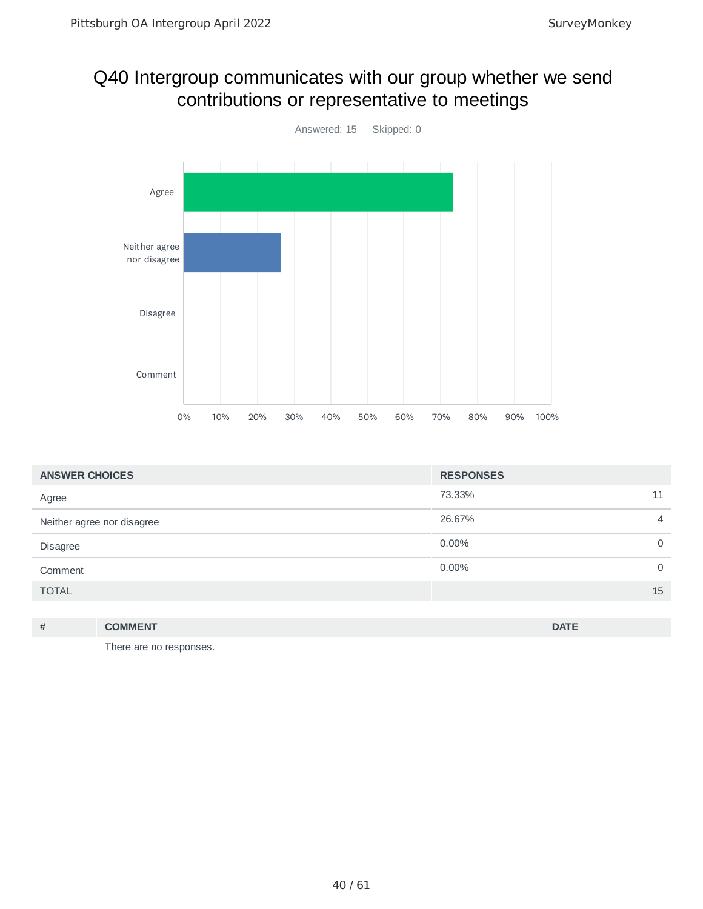#### Q40 Intergroup communicates with our group whether we send contributions or representative to meetings



| <b>ANSWER CHOICES</b> |                            | <b>RESPONSES</b> |                |
|-----------------------|----------------------------|------------------|----------------|
| Agree                 |                            | 73.33%           | 11             |
|                       | Neither agree nor disagree | 26.67%           | $\overline{4}$ |
| Disagree              |                            | 0.00%            | 0              |
| Comment               |                            | 0.00%            | $\mathbf 0$    |
| <b>TOTAL</b>          |                            |                  | 15             |
|                       |                            |                  |                |
| #                     | <b>COMMENT</b>             |                  | <b>DATE</b>    |
|                       | There are no responses.    |                  |                |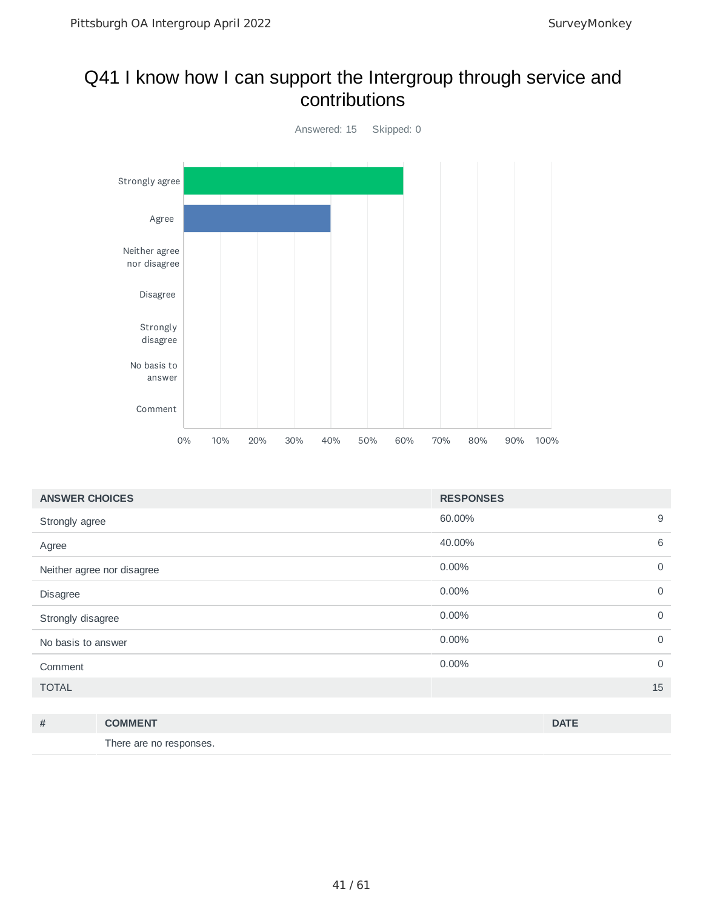#### Q41 I know how I can support the Intergroup through service and contributions



| <b>ANSWER CHOICES</b>      | <b>RESPONSES</b> |                |
|----------------------------|------------------|----------------|
| Strongly agree             | 60.00%           | 9              |
| Agree                      | 40.00%           | 6              |
| Neither agree nor disagree | 0.00%            | $\overline{0}$ |
| Disagree                   | 0.00%            | $\mathbf 0$    |
| Strongly disagree          | 0.00%            | $\mathbf 0$    |
| No basis to answer         | 0.00%            | $\overline{0}$ |
| Comment                    | 0.00%            | $\mathbf 0$    |
| <b>TOTAL</b>               |                  | 15             |
|                            |                  |                |

| # | <b>COMMENT</b>          | <b>DATE</b> |
|---|-------------------------|-------------|
|   | There are no responses. |             |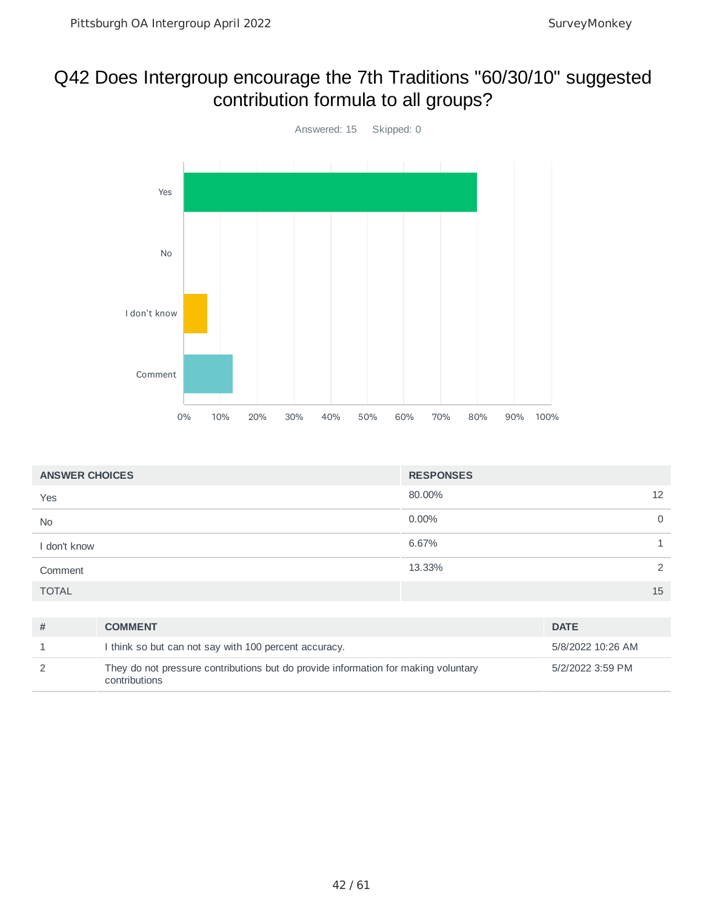### Q42 Does Intergroup encourage the 7th Traditions "60/30/10" suggested contribution formula to all groups?



| 80.00%<br>12<br>Yes<br>0.00%<br>$\mathbf 0$<br><b>No</b><br>6.67%<br>I don't know | <b>ANSWER CHOICES</b> | <b>RESPONSES</b> |
|-----------------------------------------------------------------------------------|-----------------------|------------------|
|                                                                                   |                       |                  |
|                                                                                   |                       |                  |
|                                                                                   |                       |                  |
| 13.33%<br>$\mathcal{P}$<br>Comment                                                |                       |                  |
| <b>TOTAL</b><br>15                                                                |                       |                  |

| <b>COMMENT</b>                                                                                      | <b>DATE</b>       |
|-----------------------------------------------------------------------------------------------------|-------------------|
| I think so but can not say with 100 percent accuracy.                                               | 5/8/2022 10:26 AM |
| They do not pressure contributions but do provide information for making voluntary<br>contributions | 5/2/2022 3:59 PM  |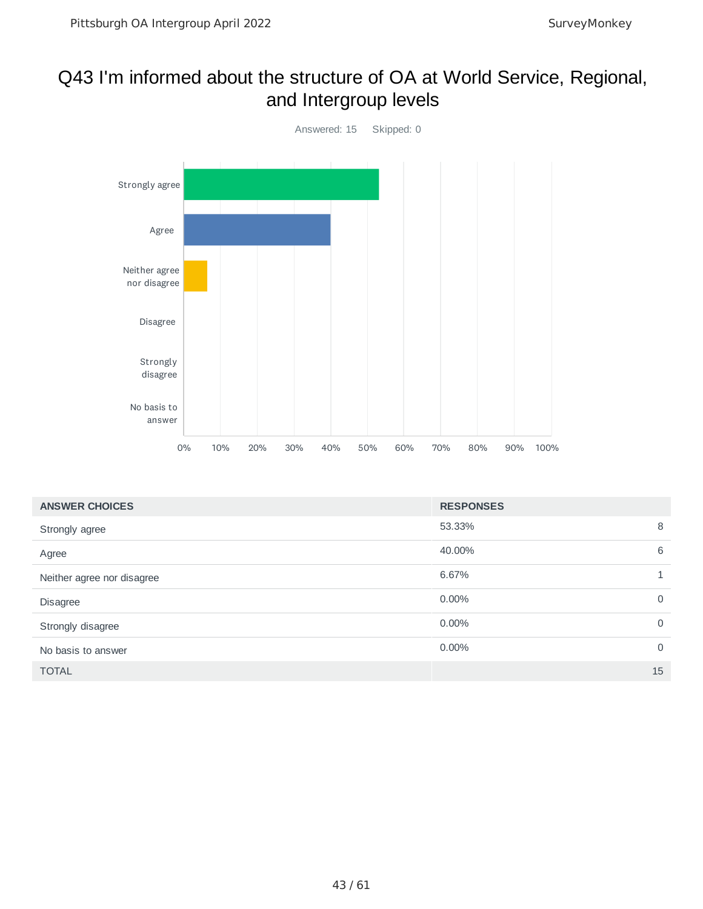#### Q43 I'm informed about the structure of OA at World Service, Regional, and Intergroup levels



| <b>ANSWER CHOICES</b>      | <b>RESPONSES</b> |             |
|----------------------------|------------------|-------------|
| Strongly agree             | 53.33%           | 8           |
| Agree                      | 40.00%           | 6           |
| Neither agree nor disagree | 6.67%            |             |
| <b>Disagree</b>            | $0.00\%$         | $\mathbf 0$ |
| Strongly disagree          | $0.00\%$         | $\mathbf 0$ |
| No basis to answer         | $0.00\%$         | $\mathbf 0$ |
| <b>TOTAL</b>               |                  | 15          |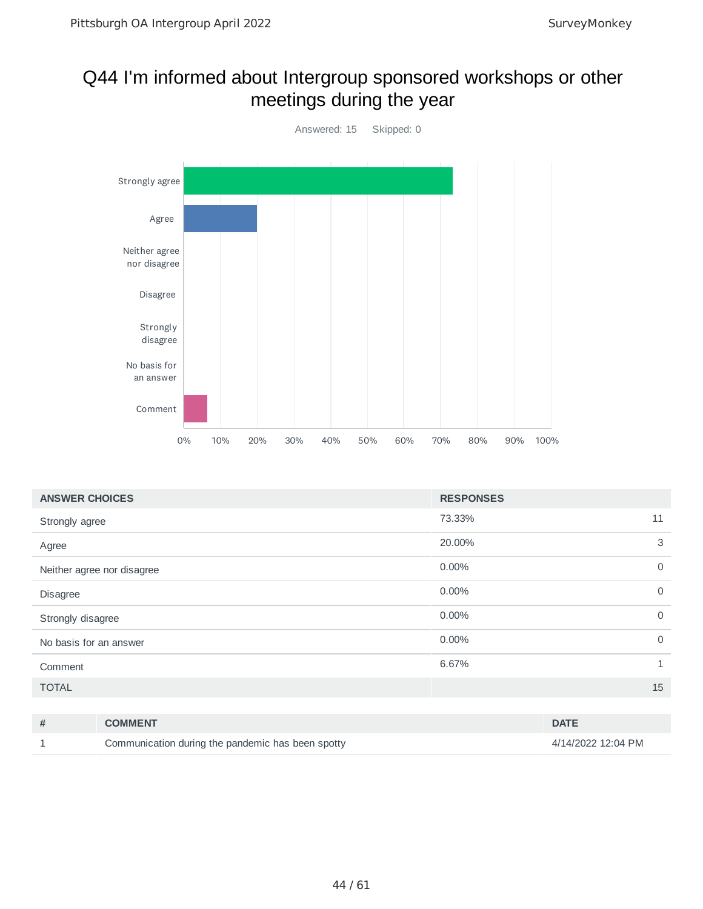#### Q44 I'm informed about Intergroup sponsored workshops or other meetings during the year



| 73.33%<br>11<br>Strongly agree<br>3<br>20.00%<br>Agree<br>$0.00\%$<br>$\mathbf 0$<br>Neither agree nor disagree<br>$\mathbf 0$<br>0.00%<br><b>Disagree</b><br>$0.00\%$<br>$\mathbf 0$<br>Strongly disagree<br>0.00%<br>$\mathbf 0$<br>No basis for an answer<br>6.67%<br>1<br>Comment<br>15<br><b>TOTAL</b> | <b>ANSWER CHOICES</b> | <b>RESPONSES</b> |
|-------------------------------------------------------------------------------------------------------------------------------------------------------------------------------------------------------------------------------------------------------------------------------------------------------------|-----------------------|------------------|
|                                                                                                                                                                                                                                                                                                             |                       |                  |
|                                                                                                                                                                                                                                                                                                             |                       |                  |
|                                                                                                                                                                                                                                                                                                             |                       |                  |
|                                                                                                                                                                                                                                                                                                             |                       |                  |
|                                                                                                                                                                                                                                                                                                             |                       |                  |
|                                                                                                                                                                                                                                                                                                             |                       |                  |
|                                                                                                                                                                                                                                                                                                             |                       |                  |
|                                                                                                                                                                                                                                                                                                             |                       |                  |

| # | <b>COMMENT</b>                                    | <b>DATE</b>        |
|---|---------------------------------------------------|--------------------|
|   | Communication during the pandemic has been spotty | 4/14/2022 12:04 PM |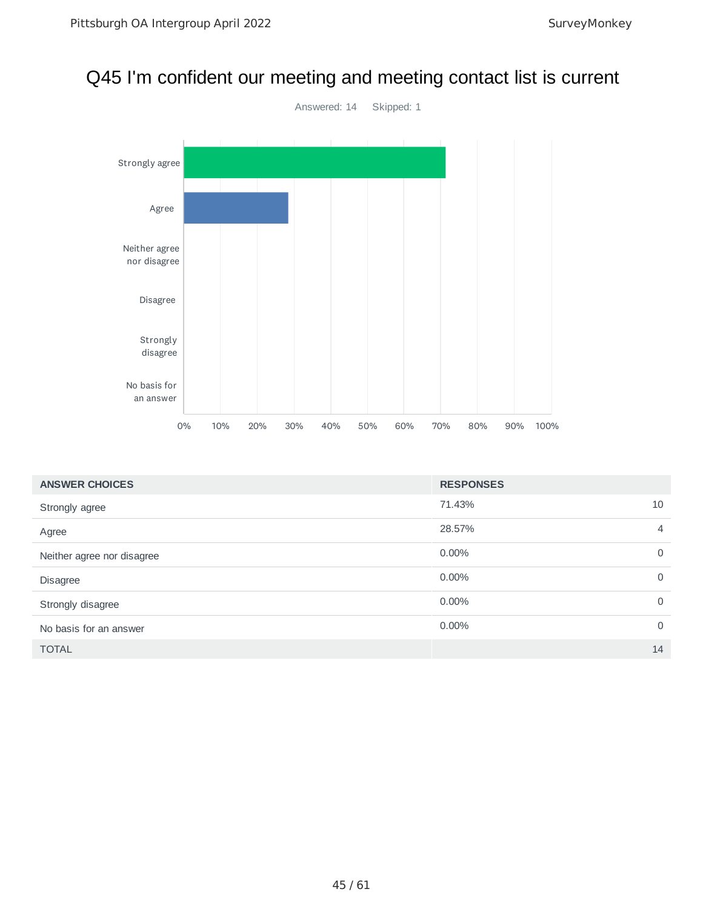#### Q45 I'm confident our meeting and meeting contact list is current



| <b>ANSWER CHOICES</b>      | <b>RESPONSES</b> |                |
|----------------------------|------------------|----------------|
| Strongly agree             | 71.43%           | 10             |
| Agree                      | 28.57%           | $\overline{4}$ |
| Neither agree nor disagree | $0.00\%$         | $\overline{0}$ |
| <b>Disagree</b>            | 0.00%            | $\mathbf 0$    |
| Strongly disagree          | 0.00%            | $\mathbf 0$    |
| No basis for an answer     | $0.00\%$         | $\Omega$       |
| <b>TOTAL</b>               |                  | 14             |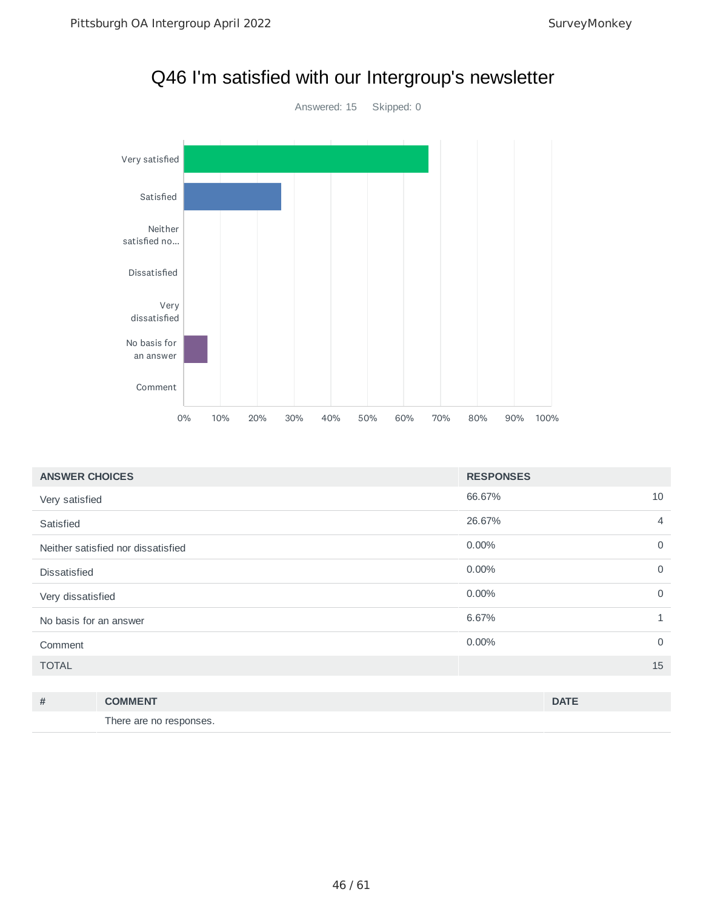

| <b>ANSWER CHOICES</b>              | <b>RESPONSES</b>      |  |
|------------------------------------|-----------------------|--|
| Very satisfied                     | 66.67%<br>10          |  |
| Satisfied                          | 26.67%<br>4           |  |
| Neither satisfied nor dissatisfied | 0.00%<br>$\Omega$     |  |
| <b>Dissatisfied</b>                | 0.00%<br>$\mathbf 0$  |  |
| Very dissatisfied                  | 0.00%<br>$\Omega$     |  |
| No basis for an answer             | 6.67%<br>$\mathbf{1}$ |  |
| Comment                            | $\Omega$<br>0.00%     |  |
| <b>TOTAL</b>                       | 15                    |  |
|                                    |                       |  |

| # | <b>COMMENT</b>          | <b>DATE</b> |
|---|-------------------------|-------------|
|   | There are no responses. |             |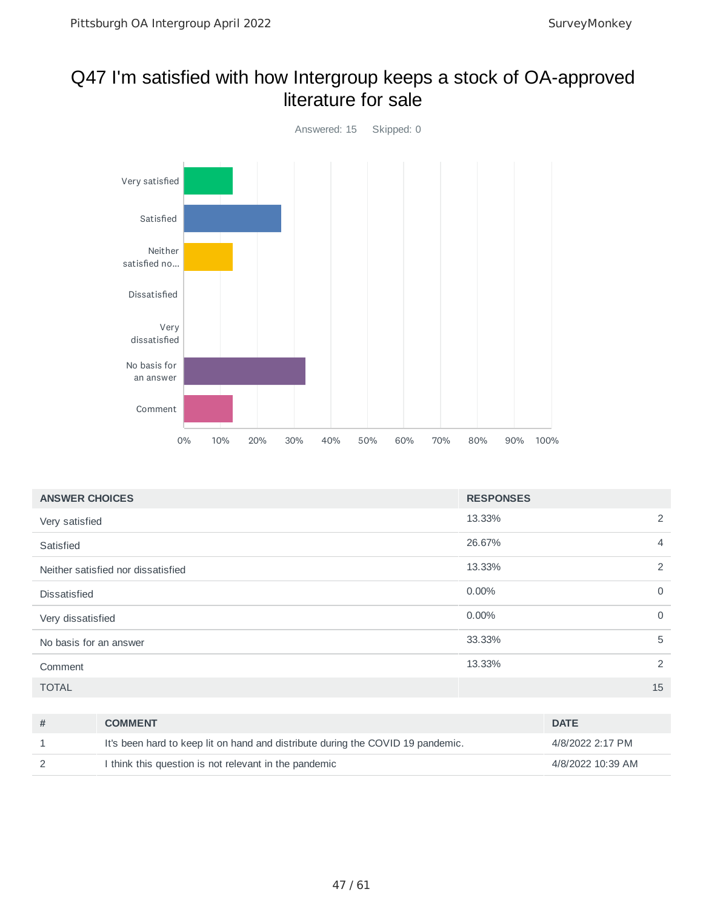#### Q47 I'm satisfied with how Intergroup keeps a stock of OA-approved literature for sale



| <b>ANSWER CHOICES</b>              | <b>RESPONSES</b> |             |
|------------------------------------|------------------|-------------|
| Very satisfied                     | 13.33%           | 2           |
| Satisfied                          | 26.67%           | 4           |
| Neither satisfied nor dissatisfied | 13.33%           | 2           |
| <b>Dissatisfied</b>                | 0.00%            | $\mathbf 0$ |
| Very dissatisfied                  | 0.00%            | $\mathbf 0$ |
| No basis for an answer             | 33.33%           | 5           |
| Comment                            | 13.33%           | 2           |
| <b>TOTAL</b>                       |                  | 15          |

| <b>COMMENT</b>                                                                  | <b>DATE</b>       |
|---------------------------------------------------------------------------------|-------------------|
| It's been hard to keep lit on hand and distribute during the COVID 19 pandemic. | 4/8/2022 2:17 PM  |
| I think this question is not relevant in the pandemic                           | 4/8/2022 10:39 AM |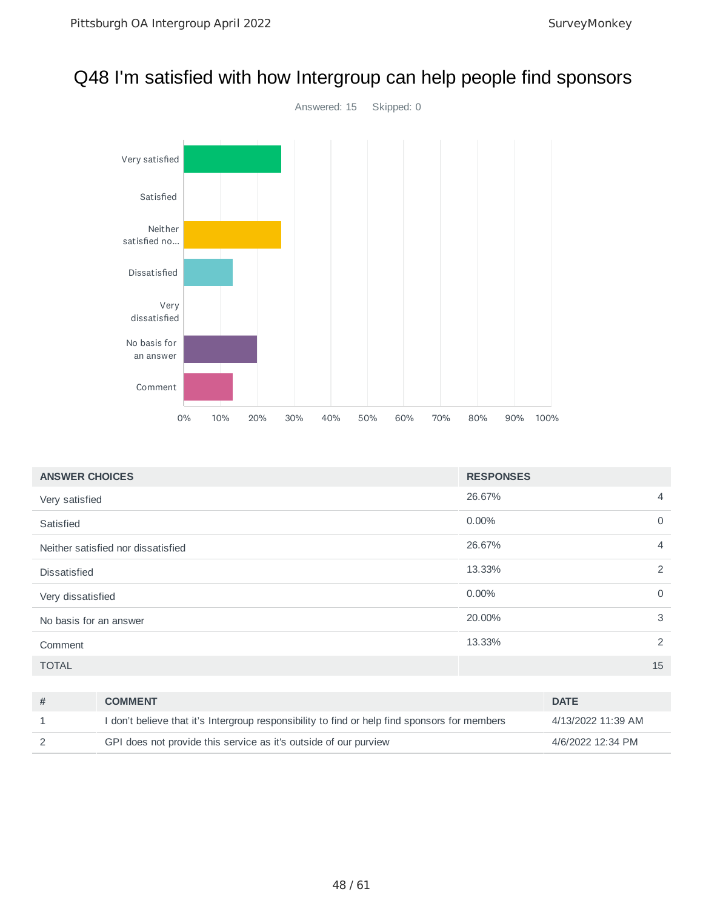#### Q48 I'm satisfied with how Intergroup can help people find sponsors



| <b>ANSWER CHOICES</b>  |                                                                                               | <b>RESPONSES</b> |                    |                |
|------------------------|-----------------------------------------------------------------------------------------------|------------------|--------------------|----------------|
| Very satisfied         |                                                                                               | 26.67%           |                    | $\overline{4}$ |
| Satisfied              |                                                                                               | 0.00%            |                    | $\mathbf 0$    |
|                        | Neither satisfied nor dissatisfied                                                            | 26.67%           |                    | $\overline{4}$ |
| <b>Dissatisfied</b>    |                                                                                               | 13.33%           |                    | 2              |
| Very dissatisfied      |                                                                                               | 0.00%            |                    | $\mathbf 0$    |
| No basis for an answer |                                                                                               | 20,00%           |                    | 3              |
| Comment                |                                                                                               | 13.33%           |                    | 2              |
| <b>TOTAL</b>           |                                                                                               |                  |                    | 15             |
|                        |                                                                                               |                  |                    |                |
| #                      | <b>COMMENT</b>                                                                                |                  | <b>DATE</b>        |                |
| 1                      | I don't believe that it's Intergroup responsibility to find or help find sponsors for members |                  | 4/13/2022 11:39 AM |                |

2 GPI does not provide this service as it's outside of our purview 4/6/2022 12:34 PM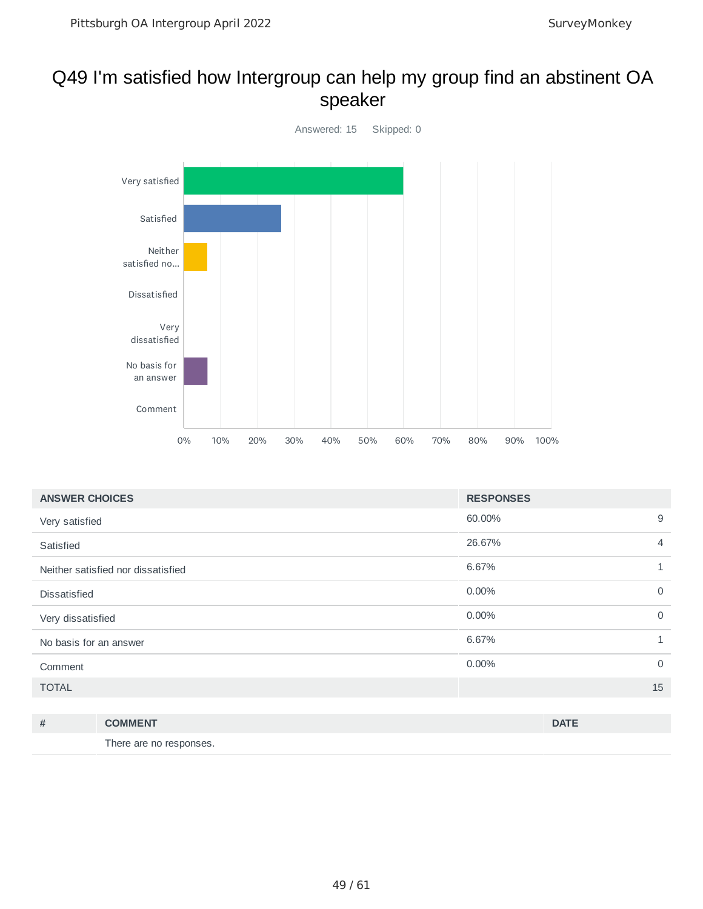#### Q49 I'm satisfied how Intergroup can help my group find an abstinent OA speaker



| <b>RESPONSES</b>     |
|----------------------|
| 60.00%<br>9          |
| 26.67%<br>4          |
| 6.67%<br>1           |
| 0.00%<br>$\mathbf 0$ |
| 0.00%<br>$\mathbf 0$ |
| 6.67%<br>1           |
| 0.00%<br>$\mathbf 0$ |
| 15                   |
|                      |

| # | <b>COMMENT</b>          | <b>DATE</b> |
|---|-------------------------|-------------|
|   | There are no responses. |             |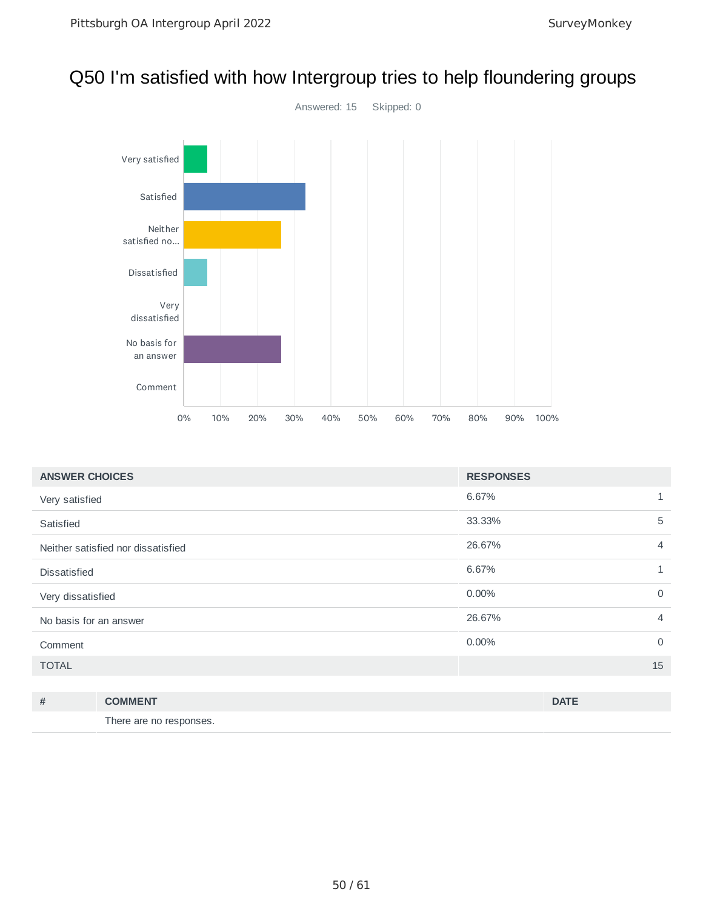#### Q50 I'm satisfied with how Intergroup tries to help floundering groups



| <b>ANSWER CHOICES</b>              | <b>RESPONSES</b> |                |
|------------------------------------|------------------|----------------|
| Very satisfied                     | 6.67%            | $\mathbf{1}$   |
| Satisfied                          | 33.33%           | 5              |
| Neither satisfied nor dissatisfied | 26.67%           | $\overline{4}$ |
| <b>Dissatisfied</b>                | 6.67%            | $\mathbf{1}$   |
| Very dissatisfied                  | 0.00%            | $\overline{0}$ |
| No basis for an answer             | 26.67%           | $\overline{4}$ |
| Comment                            | 0.00%            | $\mathbf 0$    |
| <b>TOTAL</b>                       |                  | 15             |
|                                    |                  |                |

| # | <b>COMMENT</b>          | <b>DATE</b> |
|---|-------------------------|-------------|
|   | There are no responses. |             |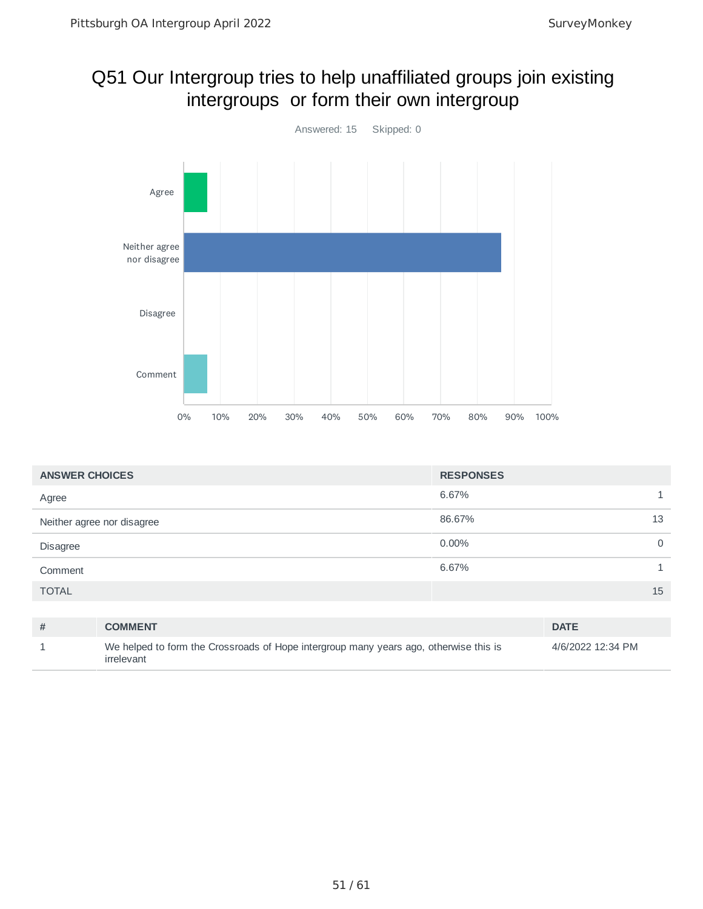### Q51 Our Intergroup tries to help unaffiliated groups join existing intergroups or form their own intergroup



| <b>ANSWER CHOICES</b>      |                                                                                                     | <b>RESPONSES</b> |                   |              |
|----------------------------|-----------------------------------------------------------------------------------------------------|------------------|-------------------|--------------|
| Agree                      |                                                                                                     | 6.67%            |                   | $\mathbf{1}$ |
| Neither agree nor disagree |                                                                                                     | 86.67%           |                   | 13           |
| <b>Disagree</b>            |                                                                                                     | $0.00\%$         |                   | $\mathbf 0$  |
| Comment                    |                                                                                                     | 6.67%            |                   | $\mathbf{1}$ |
| <b>TOTAL</b>               |                                                                                                     |                  |                   | 15           |
|                            |                                                                                                     |                  |                   |              |
| #                          | <b>COMMENT</b>                                                                                      |                  | <b>DATE</b>       |              |
| 1                          | We helped to form the Crossroads of Hope intergroup many years ago, otherwise this is<br>irrelevant |                  | 4/6/2022 12:34 PM |              |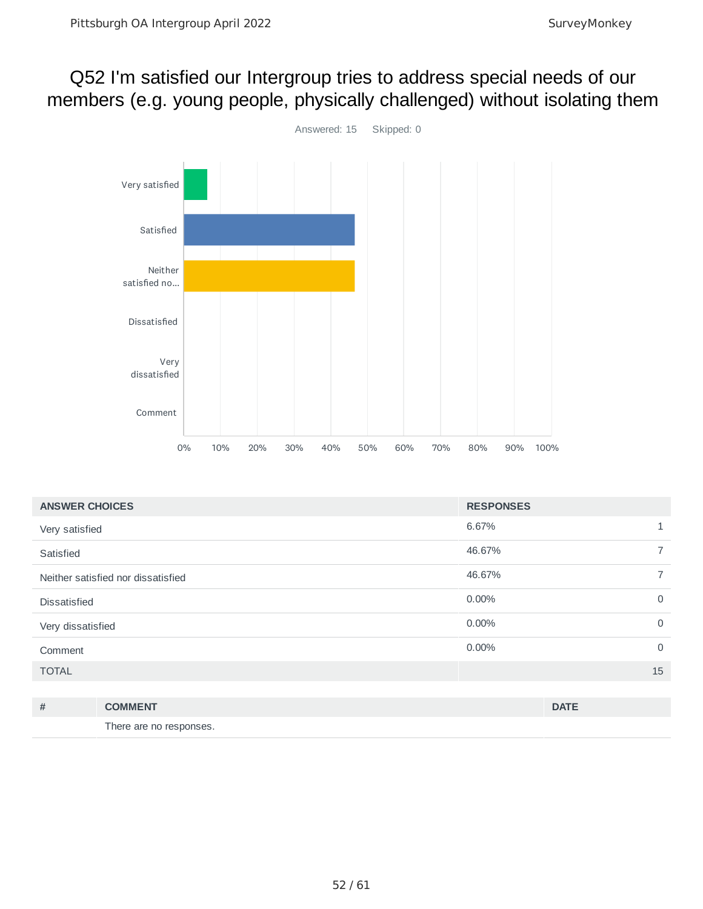## Q52 I'm satisfied our Intergroup tries to address special needs of our members (e.g. young people, physically challenged) without isolating them



| <b>ANSWER CHOICES</b>              | <b>RESPONSES</b> |          |
|------------------------------------|------------------|----------|
| Very satisfied                     | 6.67%            | 1        |
| Satisfied                          | 46.67%           |          |
| Neither satisfied nor dissatisfied | 46.67%           |          |
| <b>Dissatisfied</b>                | $0.00\%$         | 0        |
| Very dissatisfied                  | 0.00%            | 0        |
| Comment                            | 0.00%            | $\Omega$ |
| <b>TOTAL</b>                       |                  | 15       |

| # | <b>COMMENT</b>          | <b>DATE</b> |
|---|-------------------------|-------------|
|   | There are no responses. |             |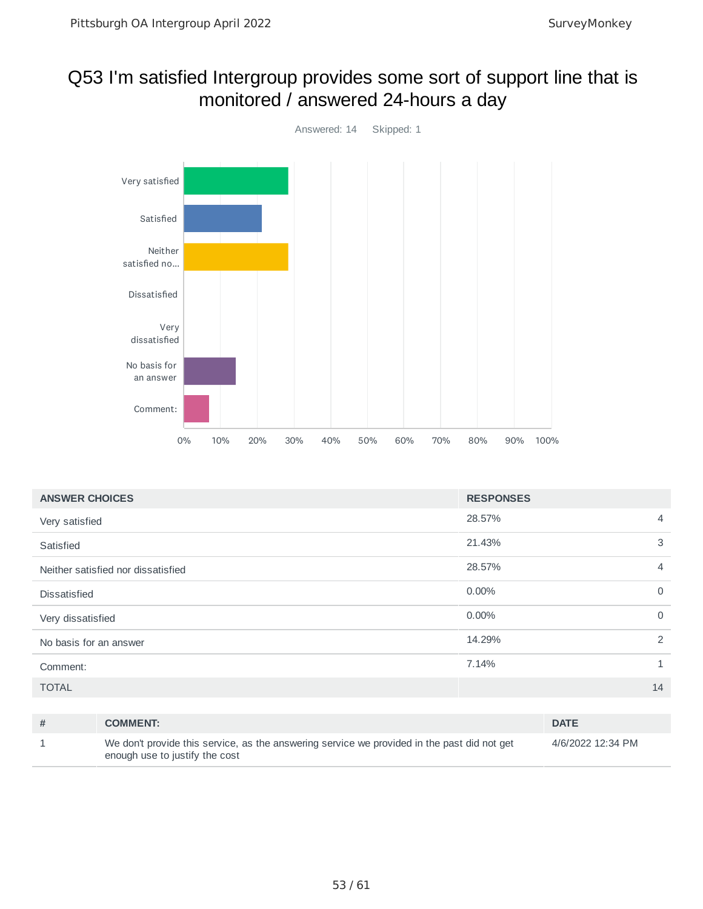### Q53 I'm satisfied Intergroup provides some sort of support line that is monitored / answered 24-hours a day



| <b>ANSWER CHOICES</b>              | <b>RESPONSES</b> |                |
|------------------------------------|------------------|----------------|
| Very satisfied                     | 28.57%           | 4              |
| Satisfied                          | 21.43%           | 3              |
| Neither satisfied nor dissatisfied | 28.57%           | $\overline{4}$ |
| <b>Dissatisfied</b>                | 0.00%            | $\mathbf 0$    |
| Very dissatisfied                  | 0.00%            | $\mathbf 0$    |
| No basis for an answer             | 14.29%           | 2              |
| Comment:                           | 7.14%            | 1              |
| <b>TOTAL</b>                       |                  | 14             |

| # | <b>COMMENT:</b>                                                                                                               | <b>DATE</b>       |
|---|-------------------------------------------------------------------------------------------------------------------------------|-------------------|
|   | We don't provide this service, as the answering service we provided in the past did not get<br>enough use to justify the cost | 4/6/2022 12:34 PM |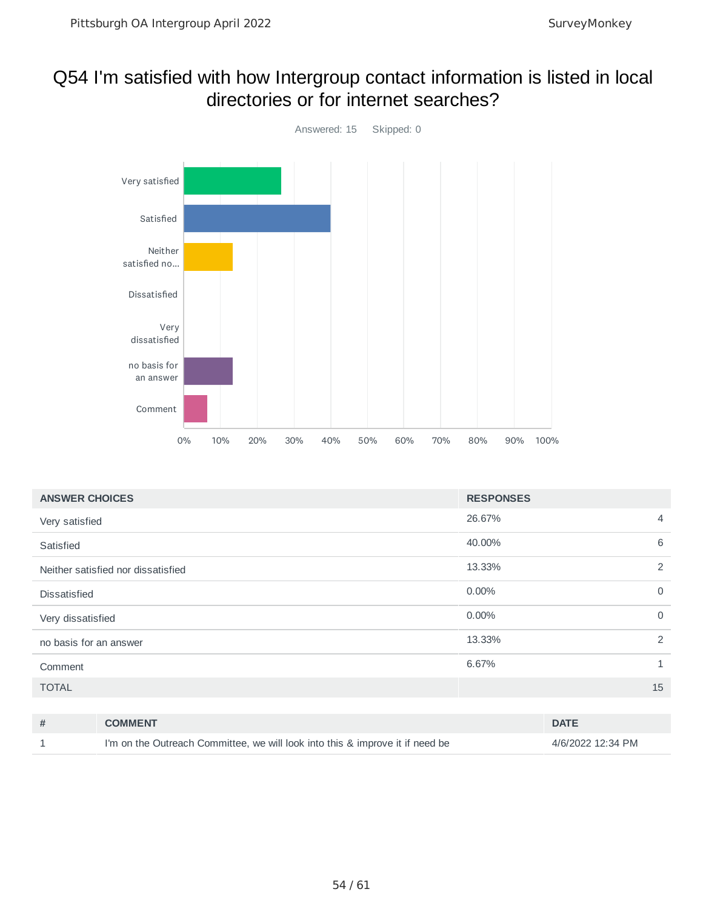#### Q54 I'm satisfied with how Intergroup contact information is listed in local directories or for internet searches?



| <b>ANSWER CHOICES</b>              | <b>RESPONSES</b> |              |
|------------------------------------|------------------|--------------|
| Very satisfied                     | 26.67%           | 4            |
| Satisfied                          | 40.00%           | 6            |
| Neither satisfied nor dissatisfied | 13.33%           | 2            |
| <b>Dissatisfied</b>                | $0.00\%$         | $\mathbf 0$  |
| Very dissatisfied                  | $0.00\%$         | $\mathbf 0$  |
| no basis for an answer             | 13.33%           | 2            |
| Comment                            | 6.67%            | $\mathbf{1}$ |
| <b>TOTAL</b>                       |                  | 15           |
|                                    |                  |              |

| <b>COMMENT</b>                                                                | <b>DATE</b>       |
|-------------------------------------------------------------------------------|-------------------|
| I'm on the Outreach Committee, we will look into this & improve it if need be | 4/6/2022 12:34 PM |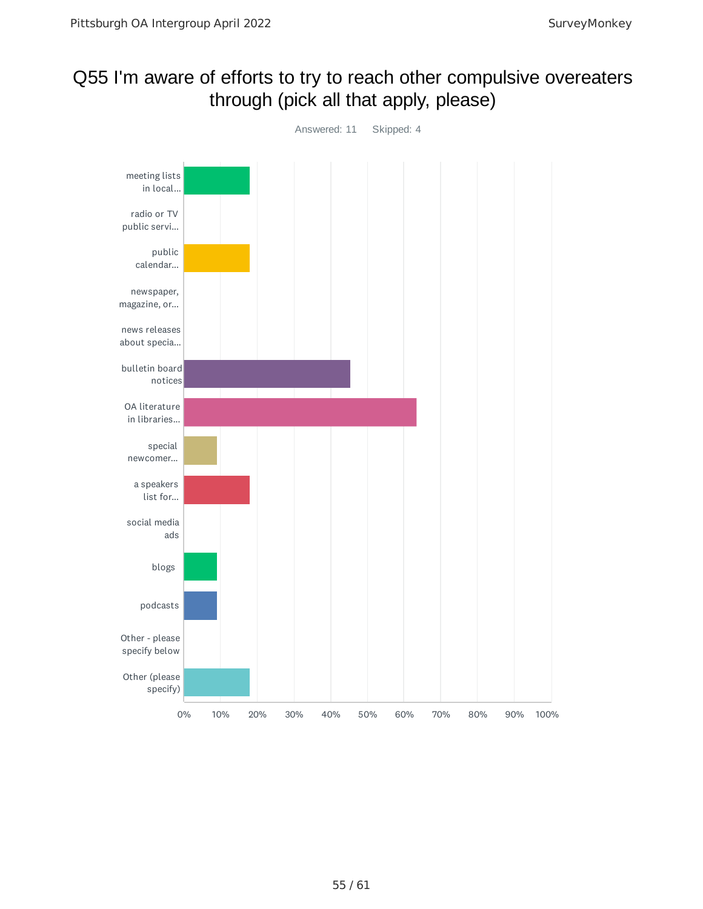#### Q55 I'm aware of efforts to try to reach other compulsive overeaters through (pick all that apply, please)

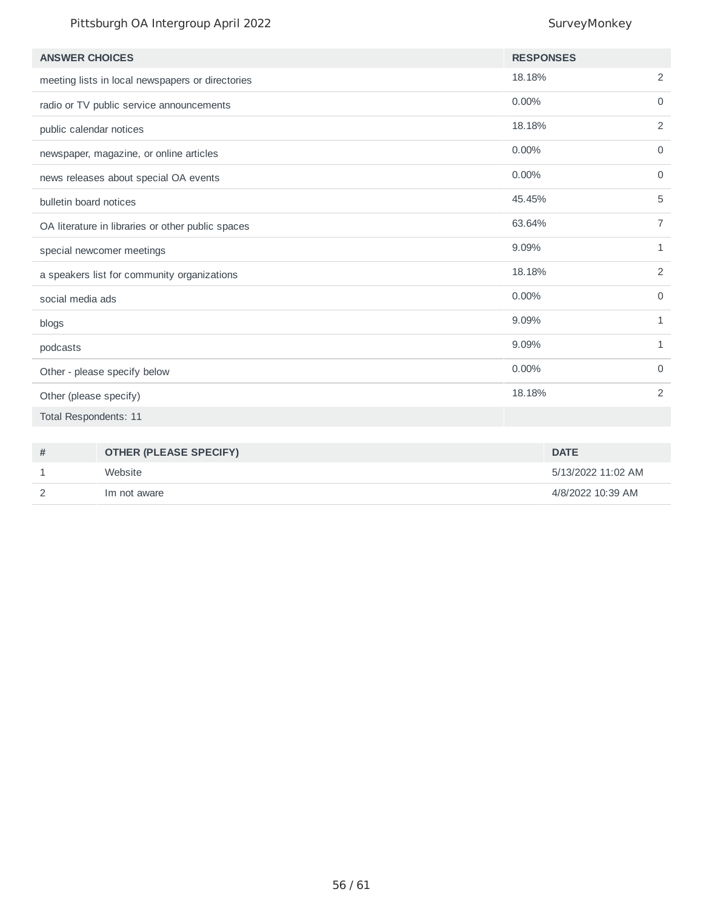#### Pittsburgh OA Intergroup April 2022 SurveyMonkey

| <b>ANSWER CHOICES</b>                             | <b>RESPONSES</b> |                |
|---------------------------------------------------|------------------|----------------|
| meeting lists in local newspapers or directories  | 18.18%           | $\overline{c}$ |
| radio or TV public service announcements          | $0.00\%$         | $\mathbf 0$    |
| public calendar notices                           | 18.18%           | 2              |
| newspaper, magazine, or online articles           | 0.00%            | $\mathbf 0$    |
| news releases about special OA events             | $0.00\%$         | 0              |
| bulletin board notices                            | 45.45%           | 5              |
| OA literature in libraries or other public spaces | 63.64%           | 7              |
| special newcomer meetings                         | 9.09%            | $\mathbf{1}$   |
| a speakers list for community organizations       | 18.18%           | 2              |
| social media ads                                  | 0.00%            | $\mathbf 0$    |
| blogs                                             | 9.09%            | 1              |
| podcasts                                          | 9.09%            | $\mathbf{1}$   |
| Other - please specify below                      | 0.00%            | 0              |
| Other (please specify)                            | 18.18%           | 2              |
| Total Respondents: 11                             |                  |                |
|                                                   |                  |                |

| 쁘 | <b>OTHER (PLEASE SPECIFY)</b> | <b>DATE</b>        |
|---|-------------------------------|--------------------|
|   | Website                       | 5/13/2022 11:02 AM |
|   | Im not aware                  | 4/8/2022 10:39 AM  |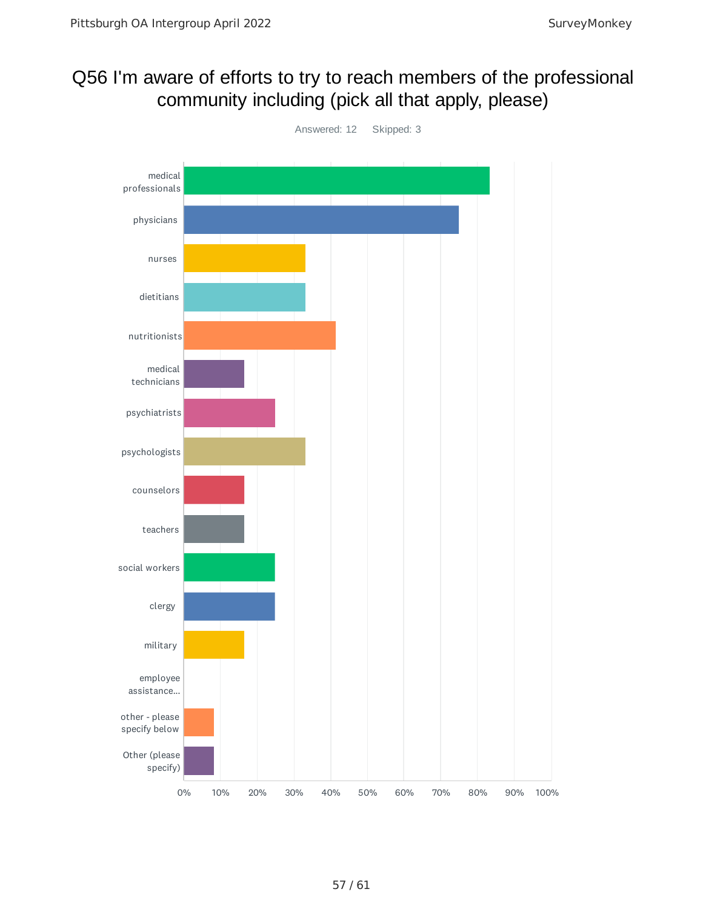## Q56 I'm aware of efforts to try to reach members of the professional community including (pick all that apply, please)

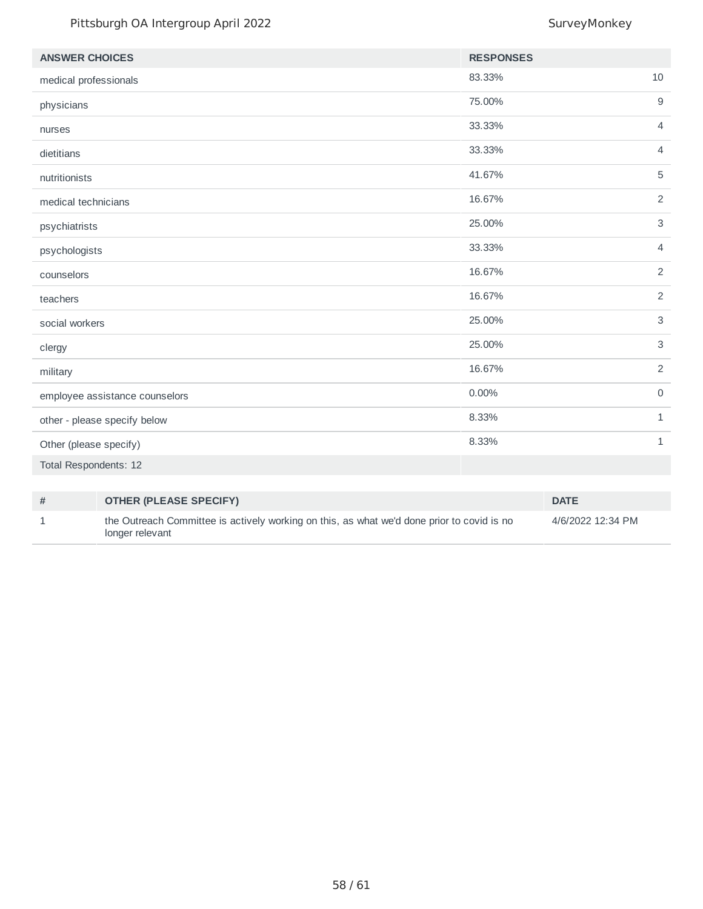#### Pittsburgh OA Intergroup April 2022 SurveyMonkey

| <b>ANSWER CHOICES</b>          | <b>RESPONSES</b> |                |
|--------------------------------|------------------|----------------|
| medical professionals          | 83.33%           | 10             |
| physicians                     | 75.00%           | $9\,$          |
| nurses                         | 33.33%           | $\overline{4}$ |
| dietitians                     | 33.33%           | $\overline{4}$ |
| nutritionists                  | 41.67%           | 5              |
| medical technicians            | 16.67%           | 2              |
| psychiatrists                  | 25.00%           | $\mathsf 3$    |
| psychologists                  | 33.33%           | $\overline{4}$ |
| counselors                     | 16.67%           | $\overline{c}$ |
| teachers                       | 16.67%           | $\overline{2}$ |
| social workers                 | 25.00%           | $\mathsf{3}$   |
| clergy                         | 25.00%           | $\sqrt{3}$     |
| military                       | 16.67%           | 2              |
| employee assistance counselors | 0.00%            | $\mathsf{O}$   |
| other - please specify below   | 8.33%            | $1\,$          |
| Other (please specify)         | 8.33%            | $1\,$          |
| Total Respondents: 12          |                  |                |

| # | <b>OTHER (PLEASE SPECIFY)</b>                                                                                 | <b>DATE</b>       |
|---|---------------------------------------------------------------------------------------------------------------|-------------------|
|   | the Outreach Committee is actively working on this, as what we'd done prior to covid is no<br>longer relevant | 4/6/2022 12:34 PM |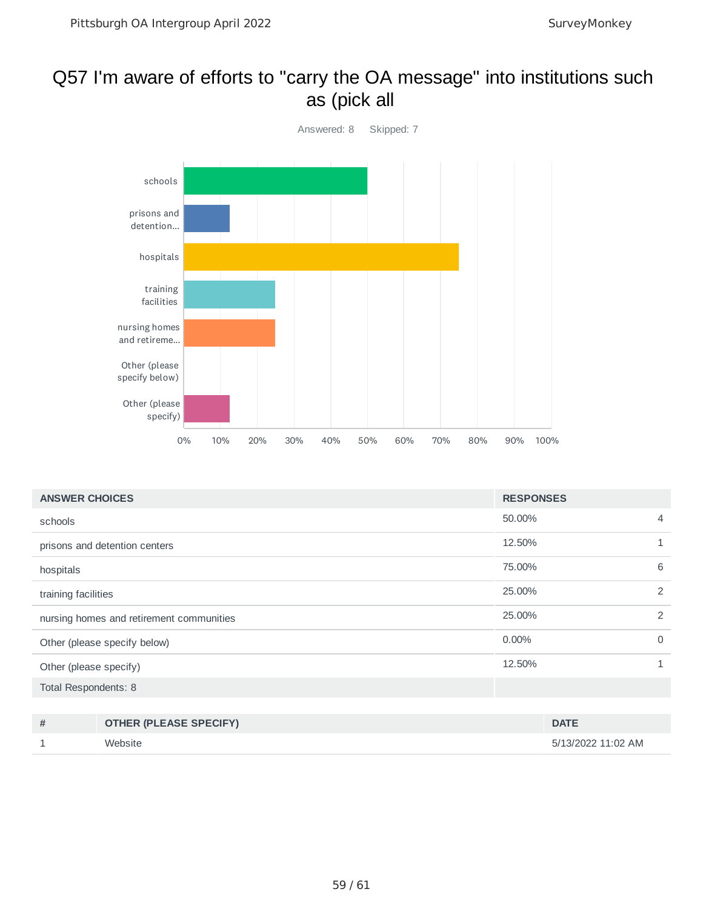#### Q57 I'm aware of efforts to "carry the OA message" into institutions such as (pick all



| <b>ANSWER CHOICES</b>                    | <b>RESPONSES</b> |   |
|------------------------------------------|------------------|---|
| schools                                  | 50.00%           | 4 |
| prisons and detention centers            | 12.50%           | 1 |
| hospitals                                | 75.00%           | 6 |
| training facilities                      | 25,00%           | 2 |
| nursing homes and retirement communities | 25.00%           | 2 |
| Other (please specify below)             | $0.00\%$         | 0 |
| Other (please specify)                   | 12.50%           | 1 |
| Total Respondents: 8                     |                  |   |
|                                          |                  |   |

| # | <b>OTHER (PLEASE SPECIFY)</b> | <b>DATE</b>        |
|---|-------------------------------|--------------------|
|   | Website                       | 5/13/2022 11:02 AM |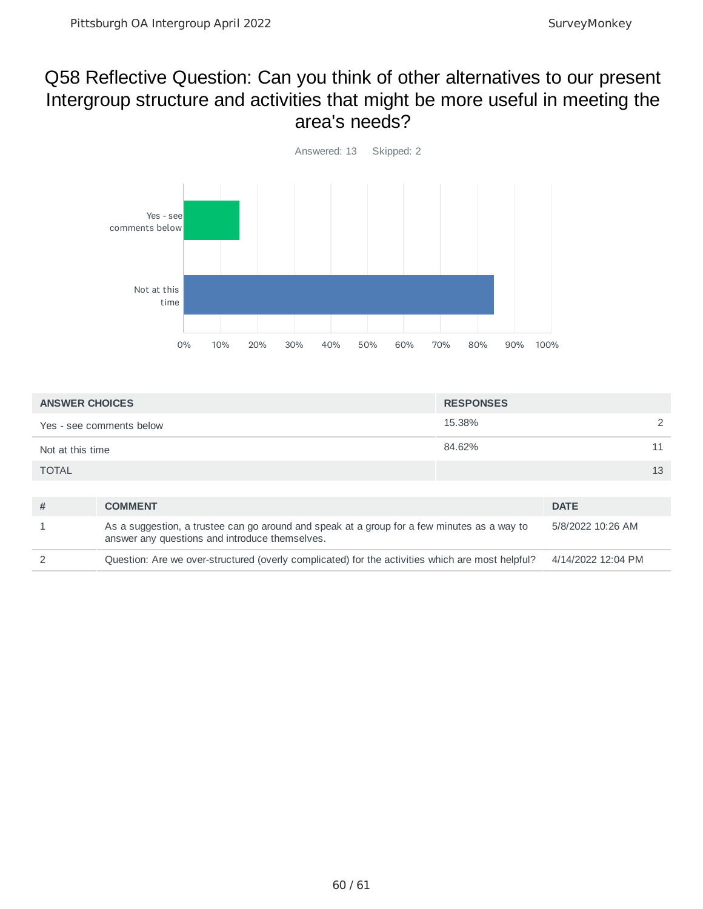#### Q58 Reflective Question: Can you think of other alternatives to our present Intergroup structure and activities that might be more useful in meeting the area's needs?



| <b>ANSWER CHOICES</b>                                                                                 |                                                                                                                                               | <b>RESPONSES</b>   |                   |    |
|-------------------------------------------------------------------------------------------------------|-----------------------------------------------------------------------------------------------------------------------------------------------|--------------------|-------------------|----|
|                                                                                                       | Yes - see comments below                                                                                                                      | 15.38%             |                   |    |
| Not at this time                                                                                      |                                                                                                                                               | 84.62%             |                   | 11 |
| <b>TOTAL</b>                                                                                          |                                                                                                                                               |                    |                   | 13 |
|                                                                                                       |                                                                                                                                               |                    |                   |    |
| #                                                                                                     | <b>COMMENT</b>                                                                                                                                |                    | <b>DATE</b>       |    |
|                                                                                                       | As a suggestion, a trustee can go around and speak at a group for a few minutes as a way to<br>answer any questions and introduce themselves. |                    | 5/8/2022 10:26 AM |    |
| Question: Are we over-structured (overly complicated) for the activities which are most helpful?<br>2 |                                                                                                                                               | 4/14/2022 12:04 PM |                   |    |